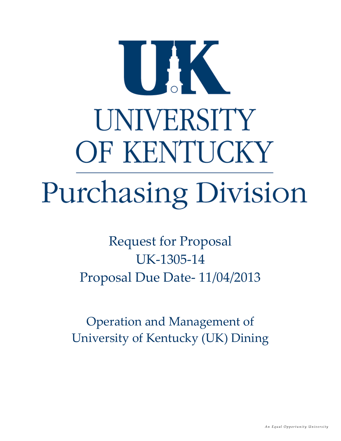# UAK UNIVERSITY OF KENTUCKY Purchasing Division

Request for Proposal UK‐1305‐14 Proposal Due Date‐ 11/04/2013

Operation and Management of University of Kentucky (UK) Dining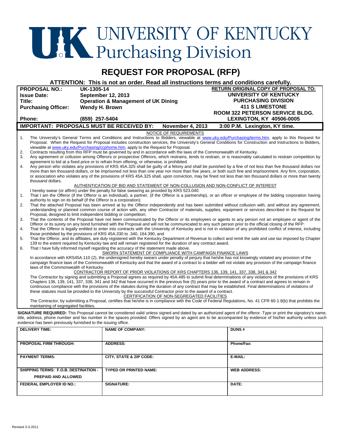# **THE UNIVERSITY OF KENTUCKY**<br>Purchasing Division

# **REQUEST FOR PROPOSAL (RFP)**

**ATTENTION: This is not an order. Read all instructions terms and conditions carefully.** 

|                                                         | <b>PROPOSAL NO.:</b>                                                                                                                                                                                                                                                                                                                                                                                                                                                                    | <b>UK-1305-14</b> |                                                                                                                        |                         |                        | <b>RETURN ORIGINAL COPY OF PROPOSAL TO:</b>                                                                                                                                                                                                                                                                     |
|---------------------------------------------------------|-----------------------------------------------------------------------------------------------------------------------------------------------------------------------------------------------------------------------------------------------------------------------------------------------------------------------------------------------------------------------------------------------------------------------------------------------------------------------------------------|-------------------|------------------------------------------------------------------------------------------------------------------------|-------------------------|------------------------|-----------------------------------------------------------------------------------------------------------------------------------------------------------------------------------------------------------------------------------------------------------------------------------------------------------------|
| <b>Issue Date:</b>                                      |                                                                                                                                                                                                                                                                                                                                                                                                                                                                                         |                   | <b>September 12, 2013</b>                                                                                              |                         | UNIVERSITY OF KENTUCKY |                                                                                                                                                                                                                                                                                                                 |
| Title:                                                  |                                                                                                                                                                                                                                                                                                                                                                                                                                                                                         |                   | <b>Operation &amp; Management of UK Dining</b>                                                                         |                         |                        | <b>PURCHASING DIVISION</b>                                                                                                                                                                                                                                                                                      |
| <b>Purchasing Officer:</b>                              |                                                                                                                                                                                                                                                                                                                                                                                                                                                                                         | Wendy H. Brown    |                                                                                                                        |                         |                        | <b>411 S LIMESTONE</b>                                                                                                                                                                                                                                                                                          |
|                                                         |                                                                                                                                                                                                                                                                                                                                                                                                                                                                                         |                   |                                                                                                                        |                         |                        | <b>ROOM 322 PETERSON SERVICE BLDG.</b>                                                                                                                                                                                                                                                                          |
|                                                         | Phone:                                                                                                                                                                                                                                                                                                                                                                                                                                                                                  | (859) 257-5404    |                                                                                                                        |                         |                        | <b>LEXINGTON, KY 40506-0005</b>                                                                                                                                                                                                                                                                                 |
|                                                         |                                                                                                                                                                                                                                                                                                                                                                                                                                                                                         |                   | <b>IMPORTANT: PROPOSALS MUST BE RECEIVED BY:</b>                                                                       | <b>November 4, 2013</b> |                        | 3:00 P.M. Lexington, KY time.                                                                                                                                                                                                                                                                                   |
|                                                         |                                                                                                                                                                                                                                                                                                                                                                                                                                                                                         |                   |                                                                                                                        | NOTICE OF REQUIREMENTS  |                        |                                                                                                                                                                                                                                                                                                                 |
| 1.                                                      |                                                                                                                                                                                                                                                                                                                                                                                                                                                                                         |                   | viewable at www.uky.edu/Purchasing/ccphome.htm, apply to the Request for Proposal.                                     |                         |                        | The University's General Terms and Conditions and Instructions to Bidders, viewable at www.uky.edu/Purchasing/terms.htm, apply to this Request for<br>Proposal. When the Request for Proposal includes construction services, the University's General Conditions for Construction and Instructions to Bidders, |
| 2.                                                      |                                                                                                                                                                                                                                                                                                                                                                                                                                                                                         |                   | Contracts resulting from this RFP must be governed by and in accordance with the laws of the Commonwealth of Kentucky. |                         |                        |                                                                                                                                                                                                                                                                                                                 |
| 3.                                                      |                                                                                                                                                                                                                                                                                                                                                                                                                                                                                         |                   |                                                                                                                        |                         |                        | Any agreement or collusion among Offerors or prospective Offerors, which restrains, tends to restrain, or is reasonably calculated to restrain competition by                                                                                                                                                   |
|                                                         |                                                                                                                                                                                                                                                                                                                                                                                                                                                                                         |                   | agreement to bid at a fixed price or to refrain from offering, or otherwise, is prohibited.                            |                         |                        |                                                                                                                                                                                                                                                                                                                 |
| 4.                                                      |                                                                                                                                                                                                                                                                                                                                                                                                                                                                                         |                   |                                                                                                                        |                         |                        | Any person who violates any provisions of KRS 45A.325 shall be guilty of a felony and shall be punished by a fine of not less than five thousand dollars nor                                                                                                                                                    |
|                                                         |                                                                                                                                                                                                                                                                                                                                                                                                                                                                                         |                   |                                                                                                                        |                         |                        | more than ten thousand dollars, or be imprisoned not less than one year nor more than five years, or both such fine and imprisonment. Any firm, corporation,                                                                                                                                                    |
|                                                         | thousand dollars.                                                                                                                                                                                                                                                                                                                                                                                                                                                                       |                   |                                                                                                                        |                         |                        | or association who violates any of the provisions of KRS 45A.325 shall, upon conviction, may be fined not less than ten thousand dollars or more than twenty                                                                                                                                                    |
|                                                         |                                                                                                                                                                                                                                                                                                                                                                                                                                                                                         |                   | AUTHENTICATION OF BID AND STATEMENT OF NON-COLLUSION AND NON-CONFLICT OF INTEREST                                      |                         |                        |                                                                                                                                                                                                                                                                                                                 |
|                                                         |                                                                                                                                                                                                                                                                                                                                                                                                                                                                                         |                   | I hereby swear (or affirm) under the penalty for false swearing as provided by KRS 523.040:                            |                         |                        |                                                                                                                                                                                                                                                                                                                 |
| 1.                                                      |                                                                                                                                                                                                                                                                                                                                                                                                                                                                                         |                   |                                                                                                                        |                         |                        | That I am the Offeror (if the Offeror is an individual), a partner, (if the Offeror is a partnership), or an officer or employee of the bidding corporation having                                                                                                                                              |
| 2.                                                      | authority to sign on its behalf (if the Offeror is a corporation);                                                                                                                                                                                                                                                                                                                                                                                                                      |                   |                                                                                                                        |                         |                        |                                                                                                                                                                                                                                                                                                                 |
|                                                         |                                                                                                                                                                                                                                                                                                                                                                                                                                                                                         |                   |                                                                                                                        |                         |                        | That the attached Proposal has been arrived at by the Offeror independently and has been submitted without collusion with, and without any agreement,<br>understanding or planned common course of action with, any other Contractor of materials, supplies, equipment or services described in the Request for |
|                                                         | Proposal, designed to limit independent bidding or competition;                                                                                                                                                                                                                                                                                                                                                                                                                         |                   |                                                                                                                        |                         |                        |                                                                                                                                                                                                                                                                                                                 |
| 3.                                                      |                                                                                                                                                                                                                                                                                                                                                                                                                                                                                         |                   |                                                                                                                        |                         |                        | That the contents of the Proposal have not been communicated by the Offeror or its employees or agents to any person not an employee or agent of the                                                                                                                                                            |
|                                                         |                                                                                                                                                                                                                                                                                                                                                                                                                                                                                         |                   |                                                                                                                        |                         |                        | Offeror or its surety on any bond furnished with the Proposal and will not be communicated to any such person prior to the official closing of the RFP:                                                                                                                                                         |
| 4.                                                      |                                                                                                                                                                                                                                                                                                                                                                                                                                                                                         |                   |                                                                                                                        |                         |                        | That the Offeror is legally entitled to enter into contracts with the University of Kentucky and is not in violation of any prohibited conflict of interest, including                                                                                                                                          |
|                                                         |                                                                                                                                                                                                                                                                                                                                                                                                                                                                                         |                   | those prohibited by the provisions of KRS 45A.330 to .340, 164.390, and                                                |                         |                        |                                                                                                                                                                                                                                                                                                                 |
| 5.                                                      |                                                                                                                                                                                                                                                                                                                                                                                                                                                                                         |                   | 139 to the extent required by Kentucky law and will remain registered for the duration of any contract award.          |                         |                        | That the Offeror, and its affiliates, are duly registered with the Kentucky Department of Revenue to collect and remit the sale and use tax imposed by Chapter                                                                                                                                                  |
| 6.                                                      |                                                                                                                                                                                                                                                                                                                                                                                                                                                                                         |                   | That I have fully informed myself regarding the accuracy of the statement made above.                                  |                         |                        |                                                                                                                                                                                                                                                                                                                 |
|                                                         |                                                                                                                                                                                                                                                                                                                                                                                                                                                                                         |                   | SWORN STATEMENT OF COMPLIANCE WITH CAMPAIGN FINANCE LAWS                                                               |                         |                        |                                                                                                                                                                                                                                                                                                                 |
|                                                         | In accordance with KRS45A.110 (2), the undersigned hereby swears under penalty of perjury that he/she has not knowingly violated any provision of the<br>campaign finance laws of the Commonwealth of Kentucky and that the award of a contract to a bidder will not violate any provision of the campaign finance<br>laws of the Commonwealth of Kentucky.                                                                                                                             |                   |                                                                                                                        |                         |                        |                                                                                                                                                                                                                                                                                                                 |
|                                                         |                                                                                                                                                                                                                                                                                                                                                                                                                                                                                         |                   | CONTRACTOR REPORT OF PRIOR VIOLATIONS OF KRS CHAPTERS 136, 139, 141, 337, 338, 341 & 342                               |                         |                        |                                                                                                                                                                                                                                                                                                                 |
|                                                         | The Contractor by signing and submitting a Proposal agrees as required by 45A.485 to submit final determinations of any violations of the provisions of KRS<br>Chapters 136, 139, 141, 337, 338, 341 and 342 that have occurred in the previous five (5) years prior to the award of a contract and agrees to remain in<br>continuous compliance with the provisions of the statutes during the duration of any contract that may be established. Final determinations of violations of |                   |                                                                                                                        |                         |                        |                                                                                                                                                                                                                                                                                                                 |
|                                                         |                                                                                                                                                                                                                                                                                                                                                                                                                                                                                         |                   | these statutes must be provided to the University by the successful Contractor prior to the award of a contract.       |                         |                        |                                                                                                                                                                                                                                                                                                                 |
|                                                         | CERTIFICATION OF NON-SEGREGATED FACILITIES<br>The Contractor, by submitting a Proposal, certifies that he/she is in compliance with the Code of Federal Regulations, No. 41 CFR 60-1.8(b) that prohibits the<br>maintaining of segregated facilities.                                                                                                                                                                                                                                   |                   |                                                                                                                        |                         |                        |                                                                                                                                                                                                                                                                                                                 |
|                                                         |                                                                                                                                                                                                                                                                                                                                                                                                                                                                                         |                   |                                                                                                                        |                         |                        |                                                                                                                                                                                                                                                                                                                 |
|                                                         | SIGNATURE REQUIRED: This Proposal cannot be considered valid unless signed and dated by an authorized agent of the offeror. Type or print the signatory's name,<br>title, address, phone number and fax number in the spaces provided. Offers signed by an agent are to be accompanied by evidence of his/her authority unless such                                                                                                                                                     |                   |                                                                                                                        |                         |                        |                                                                                                                                                                                                                                                                                                                 |
|                                                         | evidence has been previously furnished to the issuing office.                                                                                                                                                                                                                                                                                                                                                                                                                           |                   |                                                                                                                        |                         |                        |                                                                                                                                                                                                                                                                                                                 |
|                                                         | <b>DELIVERY TIME:</b>                                                                                                                                                                                                                                                                                                                                                                                                                                                                   |                   | <b>NAME OF COMPANY:</b>                                                                                                |                         | <b>DUNS#</b>           |                                                                                                                                                                                                                                                                                                                 |
|                                                         |                                                                                                                                                                                                                                                                                                                                                                                                                                                                                         |                   |                                                                                                                        |                         |                        |                                                                                                                                                                                                                                                                                                                 |
| PROPOSAL FIRM THROUGH:<br><b>ADDRESS:</b><br>Phone/Fax: |                                                                                                                                                                                                                                                                                                                                                                                                                                                                                         |                   |                                                                                                                        |                         |                        |                                                                                                                                                                                                                                                                                                                 |
|                                                         |                                                                                                                                                                                                                                                                                                                                                                                                                                                                                         |                   |                                                                                                                        |                         |                        |                                                                                                                                                                                                                                                                                                                 |
| <b>PAYMENT TERMS:</b>                                   |                                                                                                                                                                                                                                                                                                                                                                                                                                                                                         |                   |                                                                                                                        |                         |                        |                                                                                                                                                                                                                                                                                                                 |
|                                                         |                                                                                                                                                                                                                                                                                                                                                                                                                                                                                         |                   | CITY, STATE & ZIP CODE:                                                                                                |                         | E-MAIL:                |                                                                                                                                                                                                                                                                                                                 |
|                                                         |                                                                                                                                                                                                                                                                                                                                                                                                                                                                                         |                   |                                                                                                                        |                         |                        |                                                                                                                                                                                                                                                                                                                 |

**TYPED OR PRINTED NAME:** WEB ADDRESS:

**FEDERAL EMPLOYER ID NO.:** SIGNATURE: DATE: DATE: DATE:

**SHIPPING TERMS: F.O.B. DESTINATION - PREPAID AND ALLOWED**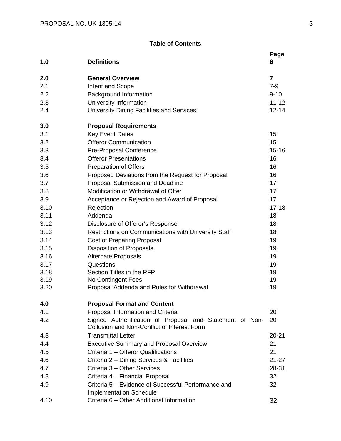# **Table of Contents**

| 1.0  | <b>Definitions</b>                                                                                            | Page<br>6      |
|------|---------------------------------------------------------------------------------------------------------------|----------------|
| 2.0  | <b>General Overview</b>                                                                                       | $\overline{7}$ |
| 2.1  | Intent and Scope                                                                                              | $7-9$          |
| 2.2  | <b>Background Information</b>                                                                                 | $9 - 10$       |
| 2.3  | University Information                                                                                        | $11 - 12$      |
| 2.4  | <b>University Dining Facilities and Services</b>                                                              | $12 - 14$      |
| 3.0  | <b>Proposal Requirements</b>                                                                                  |                |
| 3.1  | <b>Key Event Dates</b>                                                                                        | 15             |
| 3.2  | <b>Offeror Communication</b>                                                                                  | 15             |
| 3.3  | Pre-Proposal Conference                                                                                       | $15 - 16$      |
| 3.4  | <b>Offeror Presentations</b>                                                                                  | 16             |
| 3.5  | <b>Preparation of Offers</b>                                                                                  | 16             |
| 3.6  | Proposed Deviations from the Request for Proposal                                                             | 16             |
| 3.7  | Proposal Submission and Deadline                                                                              | 17             |
| 3.8  | Modification or Withdrawal of Offer                                                                           | 17             |
| 3.9  | Acceptance or Rejection and Award of Proposal                                                                 | 17             |
| 3.10 | Rejection                                                                                                     | $17 - 18$      |
| 3.11 | Addenda                                                                                                       | 18             |
| 3.12 | Disclosure of Offeror's Response                                                                              | 18             |
| 3.13 | Restrictions on Communications with University Staff                                                          | 18             |
| 3.14 | <b>Cost of Preparing Proposal</b>                                                                             | 19             |
| 3.15 | <b>Disposition of Proposals</b>                                                                               | 19             |
| 3.16 | <b>Alternate Proposals</b>                                                                                    | 19             |
| 3.17 | Questions                                                                                                     | 19             |
| 3.18 | Section Titles in the RFP                                                                                     | 19             |
| 3.19 | No Contingent Fees                                                                                            | 19             |
| 3.20 | Proposal Addenda and Rules for Withdrawal                                                                     | 19             |
| 4.0  | <b>Proposal Format and Content</b>                                                                            |                |
| 4.1  | Proposal Information and Criteria                                                                             | 20             |
| 4.2  | Signed Authentication of Proposal and Statement of Non-<br><b>Collusion and Non-Conflict of Interest Form</b> | 20             |
| 4.3  | <b>Transmittal Letter</b>                                                                                     | $20 - 21$      |
| 4.4  | <b>Executive Summary and Proposal Overview</b>                                                                | 21             |
| 4.5  | Criteria 1 - Offeror Qualifications                                                                           | 21             |
| 4.6  | Criteria 2 - Dining Services & Facilities                                                                     | $21 - 27$      |
| 4.7  | Criteria 3 - Other Services                                                                                   | 28-31          |
| 4.8  | Criteria 4 - Financial Proposal                                                                               | 32             |
| 4.9  | Criteria 5 - Evidence of Successful Performance and<br><b>Implementation Schedule</b>                         | 32             |
| 4.10 | Criteria 6 - Other Additional Information                                                                     | 32             |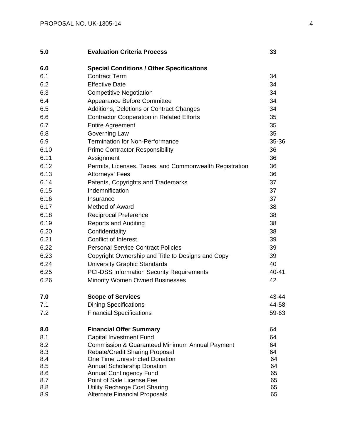| 5.0        | <b>Evaluation Criteria Process</b>                                   | 33       |
|------------|----------------------------------------------------------------------|----------|
| 6.0        | <b>Special Conditions / Other Specifications</b>                     |          |
| 6.1        | <b>Contract Term</b>                                                 | 34       |
| 6.2        | <b>Effective Date</b>                                                | 34       |
| 6.3        | <b>Competitive Negotiation</b>                                       | 34       |
| 6.4        | Appearance Before Committee                                          | 34       |
| 6.5        | Additions, Deletions or Contract Changes                             | 34       |
| 6.6        | <b>Contractor Cooperation in Related Efforts</b>                     | 35       |
| 6.7        | <b>Entire Agreement</b>                                              | 35       |
| 6.8        | Governing Law                                                        | 35       |
| 6.9        | <b>Termination for Non-Performance</b>                               | 35-36    |
| 6.10       | <b>Prime Contractor Responsibility</b>                               | 36       |
| 6.11       | Assignment                                                           | 36       |
| 6.12       | Permits, Licenses, Taxes, and Commonwealth Registration              | 36       |
| 6.13       | Attorneys' Fees                                                      | 36       |
| 6.14       | Patents, Copyrights and Trademarks                                   | 37       |
| 6.15       | Indemnification                                                      | 37       |
| 6.16       | Insurance                                                            | 37       |
| 6.17       | <b>Method of Award</b>                                               | 38       |
| 6.18       | <b>Reciprocal Preference</b>                                         | 38       |
| 6.19       | <b>Reports and Auditing</b>                                          | 38       |
| 6.20       | Confidentiality                                                      | 38       |
| 6.21       | Conflict of Interest                                                 | 39       |
| 6.22       | <b>Personal Service Contract Policies</b>                            | 39       |
| 6.23       | Copyright Ownership and Title to Designs and Copy                    | 39       |
| 6.24       | <b>University Graphic Standards</b>                                  | 40       |
| 6.25       | <b>PCI-DSS Information Security Requirements</b>                     | 40-41    |
| 6.26       | Minority Women Owned Businesses                                      | 42       |
| 7.0        | <b>Scope of Services</b>                                             | 43-44    |
| 7.1        | <b>Dining Specifications</b>                                         | 44-58    |
| 7.2        | <b>Financial Specifications</b>                                      | 59-63    |
| 8.0        | <b>Financial Offer Summary</b>                                       | 64       |
| 8.1        | <b>Capital Investment Fund</b>                                       | 64       |
| 8.2        | Commission & Guaranteed Minimum Annual Payment                       | 64       |
| 8.3        | <b>Rebate/Credit Sharing Proposal</b>                                | 64       |
| 8.4        | One Time Unrestricted Donation                                       | 64       |
| 8.5<br>8.6 | <b>Annual Scholarship Donation</b><br><b>Annual Contingency Fund</b> | 64<br>65 |
| 8.7        | Point of Sale License Fee                                            | 65       |
| 8.8        | <b>Utility Recharge Cost Sharing</b>                                 | 65       |
| 8.9        | <b>Alternate Financial Proposals</b>                                 | 65       |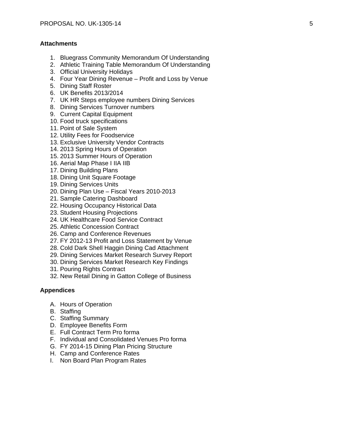# **Attachments**

- 1. Bluegrass Community Memorandum Of Understanding
- 2. Athletic Training Table Memorandum Of Understanding
- 3. Official University Holidays
- 4. Four Year Dining Revenue Profit and Loss by Venue
- 5. Dining Staff Roster
- 6. UK Benefits 2013/2014
- 7. UK HR Steps employee numbers Dining Services
- 8. Dining Services Turnover numbers
- 9. Current Capital Equipment
- 10. Food truck specifications
- 11. Point of Sale System
- 12. Utility Fees for Foodservice
- 13. Exclusive University Vendor Contracts
- 14. 2013 Spring Hours of Operation
- 15. 2013 Summer Hours of Operation
- 16. Aerial Map Phase I IIA IIB
- 17. Dining Building Plans
- 18. Dining Unit Square Footage
- 19. Dining Services Units
- 20. Dining Plan Use Fiscal Years 2010-2013
- 21. Sample Catering Dashboard
- 22. Housing Occupancy Historical Data
- 23. Student Housing Projections
- 24. UK Healthcare Food Service Contract
- 25. Athletic Concession Contract
- 26. Camp and Conference Revenues
- 27. FY 2012-13 Profit and Loss Statement by Venue
- 28. Cold Dark Shell Haggin Dining Cad Attachment
- 29. Dining Services Market Research Survey Report
- 30. Dining Services Market Research Key Findings
- 31. Pouring Rights Contract
- 32. New Retail Dining in Gatton College of Business

### **Appendices**

- A. Hours of Operation
- B. Staffing
- C. Staffing Summary
- D. Employee Benefits Form
- E. Full Contract Term Pro forma
- F. Individual and Consolidated Venues Pro forma
- G. FY 2014-15 Dining Plan Pricing Structure
- H. Camp and Conference Rates
- I. Non Board Plan Program Rates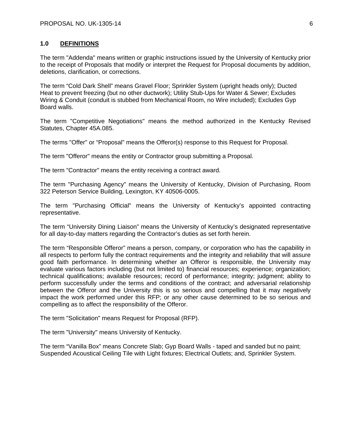# **1.0 DEFINITIONS**

The term "Addenda" means written or graphic instructions issued by the University of Kentucky prior to the receipt of Proposals that modify or interpret the Request for Proposal documents by addition, deletions, clarification, or corrections.

The term "Cold Dark Shell" means Gravel Floor; Sprinkler System (upright heads only); Ducted Heat to prevent freezing (but no other ductwork); Utility Stub-Ups for Water & Sewer; Excludes Wiring & Conduit (conduit is stubbed from Mechanical Room, no Wire included); Excludes Gyp Board walls.

The term "Competitive Negotiations" means the method authorized in the Kentucky Revised Statutes, Chapter 45A.085.

The terms "Offer" or "Proposal" means the Offeror(s) response to this Request for Proposal.

The term "Offeror" means the entity or Contractor group submitting a Proposal.

The term "Contractor" means the entity receiving a contract award.

The term "Purchasing Agency" means the University of Kentucky, Division of Purchasing, Room 322 Peterson Service Building, Lexington, KY 40506-0005.

The term "Purchasing Official" means the University of Kentucky's appointed contracting representative.

The term "University Dining Liaison" means the University of Kentucky's designated representative for all day-to-day matters regarding the Contractor's duties as set forth herein.

The term "Responsible Offeror" means a person, company, or corporation who has the capability in all respects to perform fully the contract requirements and the integrity and reliability that will assure good faith performance. In determining whether an Offeror is responsible, the University may evaluate various factors including (but not limited to) financial resources; experience; organization; technical qualifications; available resources; record of performance; integrity; judgment; ability to perform successfully under the terms and conditions of the contract; and adversarial relationship between the Offeror and the University this is so serious and compelling that it may negatively impact the work performed under this RFP; or any other cause determined to be so serious and compelling as to affect the responsibility of the Offeror.

The term "Solicitation" means Request for Proposal (RFP).

The term "University" means University of Kentucky.

The term "Vanilla Box" means Concrete Slab; Gyp Board Walls - taped and sanded but no paint; Suspended Acoustical Ceiling Tile with Light fixtures; Electrical Outlets; and, Sprinkler System.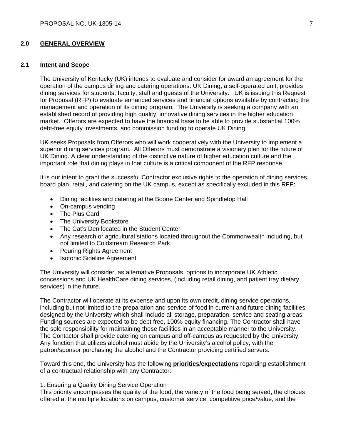# **2.0 GENERAL OVERVIEW**

# **2.1 Intent and Scope**

The University of Kentucky (UK) intends to evaluate and consider for award an agreement for the operation of the campus dining and catering operations. UK Dining, a self-operated unit, provides dining services for students, faculty, staff and guests of the University. UK is issuing this Request for Proposal (RFP) to evaluate enhanced services and financial options available by contracting the management and operation of its dining program. The University is seeking a company with an established record of providing high quality, innovative dining services in the higher education market. Offerors are expected to have the financial base to be able to provide substantial 100% debt-free equity investments, and commission funding to operate UK Dining.

UK seeks Proposals from Offerors who will work cooperatively with the University to implement a superior dining services program. All Offerors must demonstrate a visionary plan for the future of UK Dining. A clear understanding of the distinctive nature of higher education culture and the important role that dining plays in that culture is a critical component of the RFP response.

It is our intent to grant the successful Contractor exclusive rights to the operation of dining services, board plan, retail, and catering on the UK campus, except as specifically excluded in this RFP:

- Dining facilities and catering at the Boone Center and Spindletop Hall
- On-campus vending
- The Plus Card
- The University Bookstore
- The Cat's Den located in the Student Center
- Any research or agricultural stations located throughout the Commonwealth including, but not limited to Coldstream Research Park.
- Pouring Rights Agreement
- Isotonic Sideline Agreement

The University will consider, as alternative Proposals, options to incorporate UK Athletic concessions and UK HealthCare dining services, (including retail dining, and patient tray dietary services) in the future.

The Contractor will operate at its expense and upon its own credit, dining service operations, including but not limited to the preparation and service of food in current and future dining facilities designed by the University which shall include all storage, preparation, service and seating areas. Funding sources are expected to be debt free, 100% equity financing. The Contractor shall have the sole responsibility for maintaining these facilities in an acceptable manner to the University. The Contactor shall provide catering on campus and off-campus as requested by the University. Any function that utilizes alcohol must abide by the University's alcohol policy, with the patron/sponsor purchasing the alcohol and the Contractor providing certified servers.

Toward this end, the University has the following **priorities/expectations** regarding establishment of a contractual relationship with any Contractor:

### 1. Ensuring a Quality Dining Service Operation

This priority encompasses the quality of the food, the variety of the food being served, the choices offered at the multiple locations on campus, customer service, competitive price/value, and the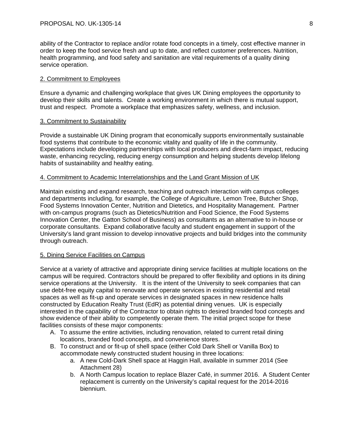ability of the Contractor to replace and/or rotate food concepts in a timely, cost effective manner in order to keep the food service fresh and up to date, and reflect customer preferences. Nutrition, health programming, and food safety and sanitation are vital requirements of a quality dining service operation.

# 2. Commitment to Employees

Ensure a dynamic and challenging workplace that gives UK Dining employees the opportunity to develop their skills and talents. Create a working environment in which there is mutual support, trust and respect. Promote a workplace that emphasizes safety, wellness, and inclusion.

# 3. Commitment to Sustainability

Provide a sustainable UK Dining program that economically supports environmentally sustainable food systems that contribute to the economic vitality and quality of life in the community. Expectations include developing partnerships with local producers and direct-farm impact, reducing waste, enhancing recycling, reducing energy consumption and helping students develop lifelong habits of sustainability and healthy eating.

# 4. Commitment to Academic Interrelationships and the Land Grant Mission of UK

Maintain existing and expand research, teaching and outreach interaction with campus colleges and departments including, for example, the College of Agriculture, Lemon Tree, Butcher Shop, Food Systems Innovation Center, Nutrition and Dietetics, and Hospitality Management. Partner with on-campus programs (such as Dietetics/Nutrition and Food Science, the Food Systems Innovation Center, the Gatton School of Business) as consultants as an alternative to in-house or corporate consultants. Expand collaborative faculty and student engagement in support of the University's land grant mission to develop innovative projects and build bridges into the community through outreach.

# 5. Dining Service Facilities on Campus

Service at a variety of attractive and appropriate dining service facilities at multiple locations on the campus will be required. Contractors should be prepared to offer flexibility and options in its dining service operations at the University. It is the intent of the University to seek companies that can use debt-free equity capital to renovate and operate services in existing residential and retail spaces as well as fit-up and operate services in designated spaces in new residence halls constructed by Education Realty Trust (EdR) as potential dining venues. UK is especially interested in the capability of the Contractor to obtain rights to desired branded food concepts and show evidence of their ability to competently operate them. The initial project scope for these facilities consists of these major components:

- A. To assume the entire activities, including renovation, related to current retail dining locations, branded food concepts, and convenience stores.
- B. To construct and or fit-up of shell space (either Cold Dark Shell or Vanilla Box) to accommodate newly constructed student housing in three locations:
	- a. A new Cold-Dark Shell space at Haggin Hall, available in summer 2014 (See Attachment 28)
	- b. A North Campus location to replace Blazer Café, in summer 2016. A Student Center replacement is currently on the University's capital request for the 2014-2016 biennium.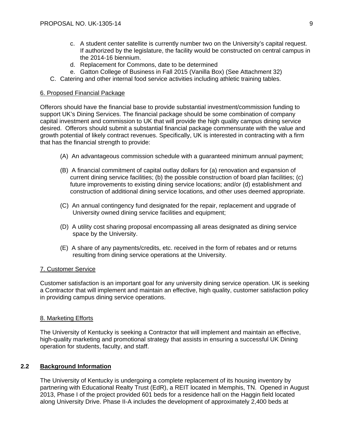- c. A student center satellite is currently number two on the University's capital request. If authorized by the legislature, the facility would be constructed on central campus in the 2014-16 biennium.
- d. Replacement for Commons, date to be determined
- e. Gatton College of Business in Fall 2015 (Vanilla Box) (See Attachment 32)
- C. Catering and other internal food service activities including athletic training tables.

### 6. Proposed Financial Package

Offerors should have the financial base to provide substantial investment/commission funding to support UK's Dining Services. The financial package should be some combination of company capital investment and commission to UK that will provide the high quality campus dining service desired. Offerors should submit a substantial financial package commensurate with the value and growth potential of likely contract revenues. Specifically, UK is interested in contracting with a firm that has the financial strength to provide:

- (A) An advantageous commission schedule with a guaranteed minimum annual payment;
- (B) A financial commitment of capital outlay dollars for (a) renovation and expansion of current dining service facilities; (b) the possible construction of board plan facilities; (c) future improvements to existing dining service locations; and/or (d) establishment and construction of additional dining service locations, and other uses deemed appropriate.
- (C) An annual contingency fund designated for the repair, replacement and upgrade of University owned dining service facilities and equipment;
- (D) A utility cost sharing proposal encompassing all areas designated as dining service space by the University.
- (E) A share of any payments/credits, etc. received in the form of rebates and or returns resulting from dining service operations at the University.

### 7. Customer Service

Customer satisfaction is an important goal for any university dining service operation. UK is seeking a Contractor that will implement and maintain an effective, high quality, customer satisfaction policy in providing campus dining service operations.

### 8. Marketing Efforts

The University of Kentucky is seeking a Contractor that will implement and maintain an effective, high-quality marketing and promotional strategy that assists in ensuring a successful UK Dining operation for students, faculty, and staff.

# **2.2 Background Information**

The University of Kentucky is undergoing a complete replacement of its housing inventory by partnering with Educational Realty Trust (EdR), a REIT located in Memphis, TN. Opened in August 2013, Phase I of the project provided 601 beds for a residence hall on the Haggin field located along University Drive. Phase II-A includes the development of approximately 2,400 beds at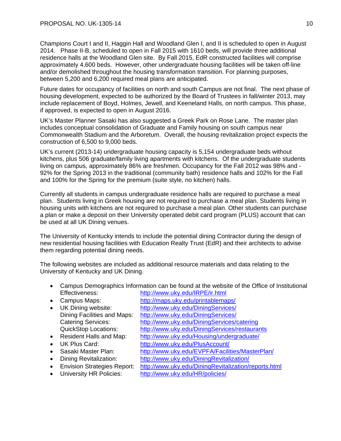Champions Court I and II, Haggin Hall and Woodland Glen I, and II is scheduled to open in August 2014. Phase II-B, scheduled to open in Fall 2015 with 1610 beds, will provide three additional residence halls at the Woodland Glen site. By Fall 2015, EdR constructed facilities will comprise approximately 4,600 beds. However, other undergraduate housing facilities will be taken off-line and/or demolished throughout the housing transformation transition. For planning purposes, between 5,200 and 6,200 required meal plans are anticipated.

Future dates for occupancy of facilities on north and south Campus are not final. The next phase of housing development, expected to be authorized by the Board of Trustees in fall/winter 2013, may include replacement of Boyd, Holmes, Jewell, and Keeneland Halls, on north campus. This phase, if approved, is expected to open in August 2016.

UK's Master Planner Sasaki has also suggested a Greek Park on Rose Lane. The master plan includes conceptual consolidation of Graduate and Family housing on south campus near Commonwealth Stadium and the Arboretum. Overall, the housing revitalization project expects the construction of 6,500 to 9,000 beds.

UK's current (2013-14) undergraduate housing capacity is 5,154 undergraduate beds without kitchens, plus 506 graduate/family living apartments with kitchens. Of the undergraduate students living on campus, approximately 86% are freshmen. Occupancy for the Fall 2012 was 98% and - 92% for the Spring 2013 in the traditional (community bath) residence halls and 102% for the Fall and 100% for the Spring for the premium (suite style, no kitchen) halls.

Currently all students in campus undergraduate residence halls are required to purchase a meal plan. Students living in Greek housing are not required to purchase a meal plan. Students living in housing units with kitchens are not required to purchase a meal plan. Other students can purchase a plan or make a deposit on their University operated debit card program (PLUS) account that can be used at all UK Dining venues.

The University of Kentucky intends to include the potential dining Contractor during the design of new residential housing facilities with Education Realty Trust (EdR) and their architects to advise them regarding potential dining needs.

The following websites are included as additional resource materials and data relating to the University of Kentucky and UK Dining.

- Campus Demographics Information can be found at the website of the Office of Institutional Effectiveness: http://www.uky.edu/IRPE/ir.html
- Campus Maps: http://maps.uky.edu/printablemaps/
- 
- 
- 
- 
- 
- 
- UK Dining website: http://www.uky.edu/DiningServices/
	- Dining Facilities and Maps: http://www.uky.edu/DiningServices/
	- Catering Services: http://www.uky.edu/DiningServices/catering
	- QuickStop Locations: http://www.uky.edu/DiningServices/restaurants
- Resident Halls and Map: http://www.uky.edu/Housing/undergraduate/
- UK Plus Card: http://www.uky.edu/PlusAccount/
- Sasaki Master Plan: http://www.uky.edu/EVPFA/Facilities/MasterPlan/
- Dining Revitalization: http://www.uky.edu/DiningRevitalization/
- Envision Strategies Report: http://www.uky.edu/DiningRevitalization/reports.html
- 
- University HR Policies: http://www.uky.edu/HR/policies/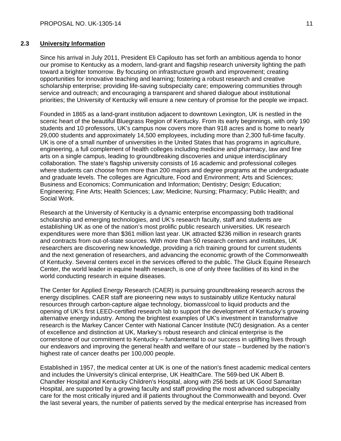# **2.3 University Information**

Since his arrival in July 2011, President Eli Capilouto has set forth an ambitious agenda to honor our promise to Kentucky as a modern, land-grant and flagship research university lighting the path toward a brighter tomorrow. By focusing on infrastructure growth and improvement; creating opportunities for innovative teaching and learning; fostering a robust research and creative scholarship enterprise; providing life-saving subspecialty care; empowering communities through service and outreach; and encouraging a transparent and shared dialogue about institutional priorities; the University of Kentucky will ensure a new century of promise for the people we impact.

Founded in 1865 as a land-grant institution adjacent to downtown Lexington, UK is nestled in the scenic heart of the beautiful Bluegrass Region of Kentucky. From its early beginnings, with only 190 students and 10 professors, UK's campus now covers more than 918 acres and is home to nearly 29,000 students and approximately 14,500 employees, including more than 2,300 full-time faculty. UK is one of a small number of universities in the United States that has programs in agriculture, engineering, a full complement of health colleges including medicine and pharmacy, law and fine arts on a single campus, leading to groundbreaking discoveries and unique interdisciplinary collaboration. The state's flagship university consists of 16 academic and professional colleges where students can choose from more than 200 majors and degree programs at the undergraduate and graduate levels. The colleges are Agriculture, Food and Environment; Arts and Sciences; Business and Economics; Communication and Information; Dentistry; Design; Education; Engineering; Fine Arts; Health Sciences; Law; Medicine; Nursing; Pharmacy; Public Health; and Social Work.

Research at the University of Kentucky is a dynamic enterprise encompassing both traditional scholarship and emerging technologies, and UK's research faculty, staff and students are establishing UK as one of the nation's most prolific public research universities. UK research expenditures were more than \$361 million last year. UK attracted \$236 million in research grants and contracts from out-of-state sources. With more than 50 research centers and institutes, UK researchers are discovering new knowledge, providing a rich training ground for current students and the next generation of researchers, and advancing the economic growth of the Commonwealth of Kentucky. Several centers excel in the services offered to the public. The Gluck Equine Research Center, the world leader in equine health research, is one of only three facilities of its kind in the world conducting research in equine diseases.

The Center for Applied Energy Research (CAER) is pursuing groundbreaking research across the energy disciplines. CAER staff are pioneering new ways to sustainably utilize Kentucky natural resources through carbon-capture algae technology, biomass/coal to liquid products and the opening of UK's first LEED-certified research lab to support the development of Kentucky's growing alternative energy industry. Among the brightest examples of UK's investment in transformative research is the Markey Cancer Center with National Cancer Institute (NCI) designation. As a center of excellence and distinction at UK, Markey's robust research and clinical enterprise is the cornerstone of our commitment to Kentucky – fundamental to our success in uplifting lives through our endeavors and improving the general health and welfare of our state – burdened by the nation's highest rate of cancer deaths per 100,000 people.

Established in 1957, the medical center at UK is one of the nation's finest academic medical centers and includes the University's clinical enterprise, UK HealthCare. The 569-bed UK Albert B. Chandler Hospital and Kentucky Children's Hospital, along with 256 beds at UK Good Samaritan Hospital, are supported by a growing faculty and staff providing the most advanced subspecialty care for the most critically injured and ill patients throughout the Commonwealth and beyond. Over the last several years, the number of patients served by the medical enterprise has increased from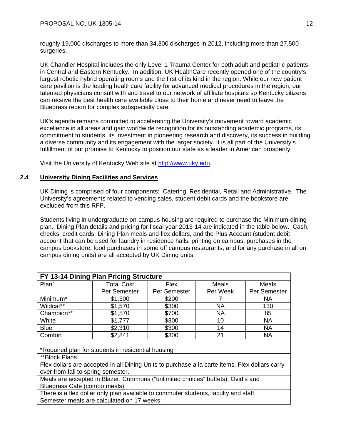roughly 19,000 discharges to more than 34,300 discharges in 2012, including more than 27,500 surgeries.

UK Chandler Hospital includes the only Level 1 Trauma Center for both adult and pediatric patients in Central and Eastern Kentucky. In addition, UK HealthCare recently opened one of the country's largest robotic hybrid operating rooms and the first of its kind in the region. While our new patient care pavilion is the leading healthcare facility for advanced medical procedures in the region, our talented physicians consult with and travel to our network of affiliate hospitals so Kentucky citizens can receive the best health care available close to their home and never need to leave the Bluegrass region for complex subspecialty care.

UK's agenda remains committed to accelerating the University's movement toward academic excellence in all areas and gain worldwide recognition for its outstanding academic programs, its commitment to students, its investment in pioneering research and discovery, its success in building a diverse community and its engagement with the larger society. It is all part of the University's fulfillment of our promise to Kentucky to position our state as a leader in American prosperity.

Visit the University of Kentucky Web site at http://www.uky.edu.

# **2.4 University Dining Facilities and Services**

UK Dining is comprised of four components: Catering, Residential, Retail and Administrative. The University's agreements related to vending sales, student debit cards and the bookstore are excluded from this RFP.

Students living in undergraduate on-campus housing are required to purchase the Minimum-dining plan. Dining Plan details and pricing for fiscal year 2013-14 are indicated in the table below. Cash, checks, credit cards, Dining Plan meals and flex dollars, and the Plus Account (student debit account that can be used for laundry in residence halls, printing on campus, purchases in the campus bookstore, food purchases in some off campus restaurants, and for any purchase in all on campus dining units) are all accepted by UK Dining units.

| FY 13-14 Dining Plan Pricing Structure                                                         |                                                    |              |          |              |
|------------------------------------------------------------------------------------------------|----------------------------------------------------|--------------|----------|--------------|
| Plan <sup>`</sup>                                                                              | <b>Total Cost</b>                                  | Flex         | Meals    | Meals        |
|                                                                                                | Per Semester                                       | Per Semester | Per Week | Per Semester |
| Minimum*                                                                                       | \$1,300                                            | \$200        | 7        | NA.          |
| Wildcat**                                                                                      | \$1,570                                            | \$300        | NA       | 130          |
| Champion**                                                                                     | \$1,570                                            | \$700        | NA.      | 85           |
| White                                                                                          | \$1,777                                            | \$300        | 10       | <b>NA</b>    |
| <b>Blue</b>                                                                                    | \$2,310                                            | \$300        | 14       | <b>NA</b>    |
| Comfort                                                                                        | \$2,841                                            | \$300        | 21       | <b>NA</b>    |
|                                                                                                |                                                    |              |          |              |
|                                                                                                | *Required plan for students in residential housing |              |          |              |
| **Block Plans                                                                                  |                                                    |              |          |              |
| Flex dollars are accepted in all Dining Units to purchase a la carte items. Flex dollars carry |                                                    |              |          |              |
| over from fall to spring semester.                                                             |                                                    |              |          |              |
| Meals are accepted in Blazer, Commons ("unlimited choices" buffets), Ovid's and                |                                                    |              |          |              |
| Bluegrass Café (combo meals)                                                                   |                                                    |              |          |              |
| There is a flex dollar only plan available to commuter students, faculty and staff.            |                                                    |              |          |              |
| Semester meals are calculated on 17 weeks.                                                     |                                                    |              |          |              |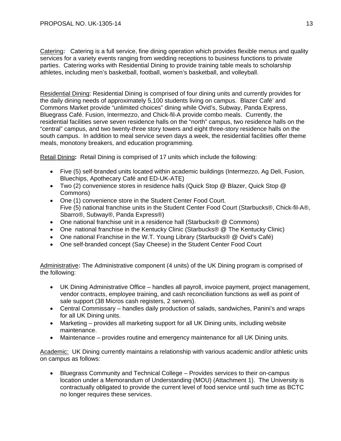Catering**:** Catering is a full service, fine dining operation which provides flexible menus and quality services for a variety events ranging from wedding receptions to business functions to private parties. Catering works with Residential Dining to provide training table meals to scholarship athletes, including men's basketball, football, women's basketball, and volleyball.

Residential Dining: Residential Dining is comprised of four dining units and currently provides for the daily dining needs of approximately 5,100 students living on campus. Blazer Café' and Commons Market provide "unlimited choices" dining while Ovid's, Subway, Panda Express, Bluegrass Café. Fusion, Intermezzo, and Chick-fil-A provide combo meals. Currently, the residential facilities serve seven residence halls on the "north" campus, two residence halls on the "central" campus, and two twenty-three story towers and eight three-story residence halls on the south campus. In addition to meal service seven days a week, the residential facilities offer theme meals, monotony breakers, and education programming.

Retail Dining**:** Retail Dining is comprised of 17 units which include the following:

- Five (5) self-branded units located within academic buildings (Intermezzo, Ag Deli, Fusion, Bluechips, Apothecary Café and ED-UK-ATE)
- Two (2) convenience stores in residence halls (Quick Stop @ Blazer, Quick Stop @ Commons)
- One (1) convenience store in the Student Center Food Court. Five (5) national franchise units in the Student Center Food Court (Starbucks®, Chick-fil-A®, Sbarro®, Subway®, Panda Express®)
- One national franchise unit in a residence hall (Starbucks® @ Commons)
- One national franchise in the Kentucky Clinic (Starbucks® @ The Kentucky Clinic)
- One national Franchise in the W.T. Young Library (Starbucks® @ Ovid's Café)
- One self-branded concept (Say Cheese) in the Student Center Food Court

Administrative**:** The Administrative component (4 units) of the UK Dining program is comprised of the following:

- UK Dining Administrative Office handles all payroll, invoice payment, project management, vendor contracts, employee training, and cash reconciliation functions as well as point of sale support (38 Micros cash registers, 2 servers).
- Central Commissary handles daily production of salads, sandwiches, Panini's and wraps for all UK Dining units.
- Marketing provides all marketing support for all UK Dining units, including website maintenance.
- Maintenance provides routine and emergency maintenance for all UK Dining units.

Academic: UK Dining currently maintains a relationship with various academic and/or athletic units on campus as follows:

 Bluegrass Community and Technical College – Provides services to their on-campus location under a Memorandum of Understanding (MOU) (Attachment 1). The University is contractually obligated to provide the current level of food service until such time as BCTC no longer requires these services.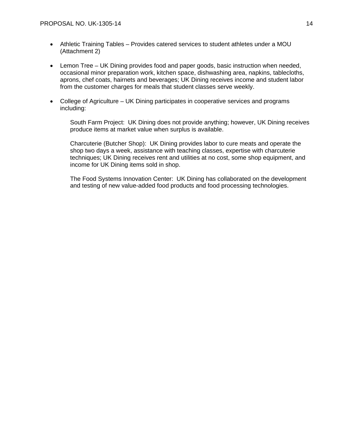- Athletic Training Tables Provides catered services to student athletes under a MOU (Attachment 2)
- Lemon Tree UK Dining provides food and paper goods, basic instruction when needed, occasional minor preparation work, kitchen space, dishwashing area, napkins, tablecloths, aprons, chef coats, hairnets and beverages; UK Dining receives income and student labor from the customer charges for meals that student classes serve weekly.
- College of Agriculture UK Dining participates in cooperative services and programs including:

South Farm Project: UK Dining does not provide anything; however, UK Dining receives produce items at market value when surplus is available.

Charcuterie (Butcher Shop): UK Dining provides labor to cure meats and operate the shop two days a week, assistance with teaching classes, expertise with charcuterie techniques; UK Dining receives rent and utilities at no cost, some shop equipment, and income for UK Dining items sold in shop.

The Food Systems Innovation Center: UK Dining has collaborated on the development and testing of new value-added food products and food processing technologies.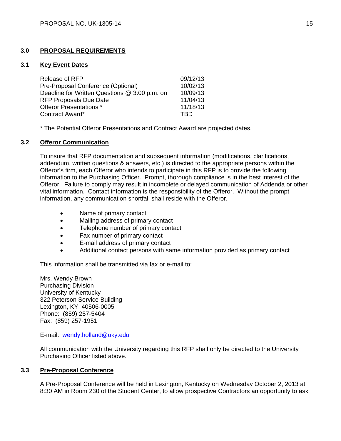# **3.0 PROPOSAL REQUIREMENTS**

### **3.1 Key Event Dates**

| Release of RFP                                | 09/12/13 |
|-----------------------------------------------|----------|
| Pre-Proposal Conference (Optional)            | 10/02/13 |
| Deadline for Written Questions @ 3:00 p.m. on | 10/09/13 |
| <b>RFP Proposals Due Date</b>                 | 11/04/13 |
| Offeror Presentations *                       | 11/18/13 |
| Contract Award*                               | TRD      |

\* The Potential Offeror Presentations and Contract Award are projected dates.

# **3.2 Offeror Communication**

To insure that RFP documentation and subsequent information (modifications, clarifications, addendum, written questions & answers, etc.) is directed to the appropriate persons within the Offeror's firm, each Offeror who intends to participate in this RFP is to provide the following information to the Purchasing Officer. Prompt, thorough compliance is in the best interest of the Offeror. Failure to comply may result in incomplete or delayed communication of Addenda or other vital information. Contact information is the responsibility of the Offeror. Without the prompt information, any communication shortfall shall reside with the Offeror.

- Name of primary contact
- Mailing address of primary contact
- Telephone number of primary contact
- Fax number of primary contact
- E-mail address of primary contact
- Additional contact persons with same information provided as primary contact

This information shall be transmitted via fax or e-mail to:

Mrs. Wendy Brown Purchasing Division University of Kentucky 322 Peterson Service Building Lexington, KY 40506-0005 Phone: (859) 257-5404 Fax: (859) 257-1951

E-mail: wendy.holland@uky.edu

All communication with the University regarding this RFP shall only be directed to the University Purchasing Officer listed above.

# **3.3 Pre-Proposal Conference**

A Pre-Proposal Conference will be held in Lexington, Kentucky on Wednesday October 2, 2013 at 8:30 AM in Room 230 of the Student Center, to allow prospective Contractors an opportunity to ask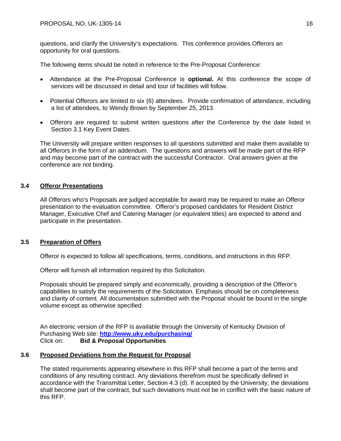questions, and clarify the University's expectations. This conference provides Offerors an opportunity for oral questions.

The following items should be noted in reference to the Pre-Proposal Conference:

- Attendance at the Pre-Proposal Conference is **optional.** At this conference the scope of services will be discussed in detail and tour of facilities will follow.
- Potential Offerors are limited to six (6) attendees. Provide confirmation of attendance, including a list of attendees, to Wendy Brown by September 25, 2013.
- Offerors are required to submit written questions after the Conference by the date listed in Section 3.1 Key Event Dates.

The University will prepare written responses to all questions submitted and make them available to all Offerors in the form of an addendum. The questions and answers will be made part of the RFP and may become part of the contract with the successful Contractor. Oral answers given at the conference are not binding.

# **3.4 Offeror Presentations**

All Offerors who's Proposals are judged acceptable for award may be required to make an Offeror presentation to the evaluation committee. Offeror's proposed candidates for Resident District Manager, Executive Chef and Catering Manager (or equivalent titles) are expected to attend and participate in the presentation.

# **3.5 Preparation of Offers**

Offeror is expected to follow all specifications, terms, conditions, and instructions in this RFP.

Offeror will furnish all information required by this Solicitation.

Proposals should be prepared simply and economically, providing a description of the Offeror's capabilities to satisfy the requirements of the Solicitation. Emphasis should be on completeness and clarity of content. All documentation submitted with the Proposal should be bound in the single volume except as otherwise specified.

An electronic version of the RFP is available through the University of Kentucky Division of Purchasing Web site: **http://www.uky.edu/purchasing/** Click on: **Bid & Proposal Opportunities** 

# **3.6 Proposed Deviations from the Request for Proposal**

The stated requirements appearing elsewhere in this RFP shall become a part of the terms and conditions of any resulting contract. Any deviations therefrom must be specifically defined in accordance with the Transmittal Letter, Section 4.3 (d). If accepted by the University, the deviations shall become part of the contract, but such deviations must not be in conflict with the basic nature of this RFP.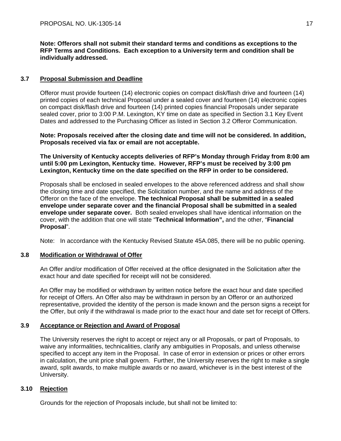**Note: Offerors shall not submit their standard terms and conditions as exceptions to the RFP Terms and Conditions. Each exception to a University term and condition shall be individually addressed.** 

# **3.7 Proposal Submission and Deadline**

Offeror must provide fourteen (14) electronic copies on compact disk/flash drive and fourteen (14) printed copies of each technical Proposal under a sealed cover and fourteen (14) electronic copies on compact disk/flash drive and fourteen (14) printed copies financial Proposals under separate sealed cover, prior to 3:00 P.M. Lexington, KY time on date as specified in Section 3.1 Key Event Dates and addressed to the Purchasing Officer as listed in Section 3.2 Offeror Communication.

**Note: Proposals received after the closing date and time will not be considered. In addition, Proposals received via fax or email are not acceptable.**

**The University of Kentucky accepts deliveries of RFP's Monday through Friday from 8:00 am until 5:00 pm Lexington, Kentucky time. However, RFP's must be received by 3:00 pm Lexington, Kentucky time on the date specified on the RFP in order to be considered.** 

Proposals shall be enclosed in sealed envelopes to the above referenced address and shall show the closing time and date specified, the Solicitation number, and the name and address of the Offeror on the face of the envelope. **The technical Proposal shall be submitted in a sealed envelope under separate cover and the financial Proposal shall be submitted in a sealed envelope under separate cover.** Both sealed envelopes shall have identical information on the cover, with the addition that one will state "**Technical Information",** and the other, "**Financial Proposal**".

Note: In accordance with the Kentucky Revised Statute 45A.085, there will be no public opening.

# **3.8 Modification or Withdrawal of Offer**

An Offer and/or modification of Offer received at the office designated in the Solicitation after the exact hour and date specified for receipt will not be considered.

An Offer may be modified or withdrawn by written notice before the exact hour and date specified for receipt of Offers. An Offer also may be withdrawn in person by an Offeror or an authorized representative, provided the identity of the person is made known and the person signs a receipt for the Offer, but only if the withdrawal is made prior to the exact hour and date set for receipt of Offers.

# **3.9 Acceptance or Rejection and Award of Proposal**

The University reserves the right to accept or reject any or all Proposals, or part of Proposals, to waive any informalities, technicalities, clarify any ambiguities in Proposals, and unless otherwise specified to accept any item in the Proposal. In case of error in extension or prices or other errors in calculation, the unit price shall govern. Further, the University reserves the right to make a single award, split awards, to make multiple awards or no award, whichever is in the best interest of the University.

# **3.10 Rejection**

Grounds for the rejection of Proposals include, but shall not be limited to: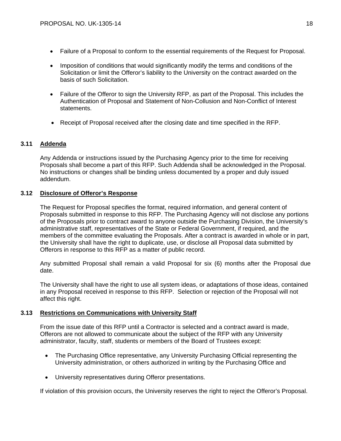- Failure of a Proposal to conform to the essential requirements of the Request for Proposal.
- Imposition of conditions that would significantly modify the terms and conditions of the Solicitation or limit the Offeror's liability to the University on the contract awarded on the basis of such Solicitation.
- Failure of the Offeror to sign the University RFP, as part of the Proposal. This includes the Authentication of Proposal and Statement of Non-Collusion and Non-Conflict of Interest statements.
- Receipt of Proposal received after the closing date and time specified in the RFP.

# **3.11 Addenda**

Any Addenda or instructions issued by the Purchasing Agency prior to the time for receiving Proposals shall become a part of this RFP. Such Addenda shall be acknowledged in the Proposal. No instructions or changes shall be binding unless documented by a proper and duly issued addendum.

# **3.12 Disclosure of Offeror's Response**

The Request for Proposal specifies the format, required information, and general content of Proposals submitted in response to this RFP. The Purchasing Agency will not disclose any portions of the Proposals prior to contract award to anyone outside the Purchasing Division, the University's administrative staff, representatives of the State or Federal Government, if required, and the members of the committee evaluating the Proposals. After a contract is awarded in whole or in part, the University shall have the right to duplicate, use, or disclose all Proposal data submitted by Offerors in response to this RFP as a matter of public record.

Any submitted Proposal shall remain a valid Proposal for six (6) months after the Proposal due date.

The University shall have the right to use all system ideas, or adaptations of those ideas, contained in any Proposal received in response to this RFP. Selection or rejection of the Proposal will not affect this right.

# **3.13 Restrictions on Communications with University Staff**

From the issue date of this RFP until a Contractor is selected and a contract award is made, Offerors are not allowed to communicate about the subject of the RFP with any University administrator, faculty, staff, students or members of the Board of Trustees except:

- The Purchasing Office representative, any University Purchasing Official representing the University administration, or others authorized in writing by the Purchasing Office and
- University representatives during Offeror presentations.

If violation of this provision occurs, the University reserves the right to reject the Offeror's Proposal.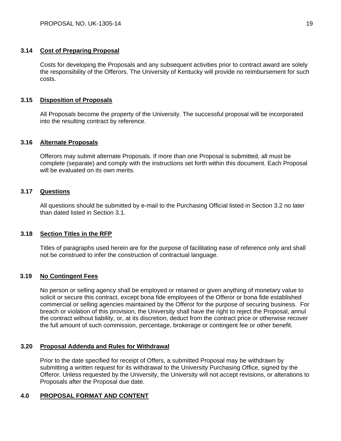# **3.14 Cost of Preparing Proposal**

Costs for developing the Proposals and any subsequent activities prior to contract award are solely the responsibility of the Offerors. The University of Kentucky will provide no reimbursement for such costs.

# **3.15 Disposition of Proposals**

All Proposals become the property of the University. The successful proposal will be incorporated into the resulting contract by reference.

# **3.16 Alternate Proposals**

Offerors may submit alternate Proposals. If more than one Proposal is submitted, all must be complete (separate) and comply with the instructions set forth within this document. Each Proposal will be evaluated on its own merits.

# **3.17 Questions**

All questions should be submitted by e-mail to the Purchasing Official listed in Section 3.2 no later than dated listed in Section 3.1.

# **3.18 Section Titles in the RFP**

Titles of paragraphs used herein are for the purpose of facilitating ease of reference only and shall not be construed to infer the construction of contractual language.

# **3.19 No Contingent Fees**

No person or selling agency shall be employed or retained or given anything of monetary value to solicit or secure this contract, except bona fide employees of the Offeror or bona fide established commercial or selling agencies maintained by the Offeror for the purpose of securing business. For breach or violation of this provision, the University shall have the right to reject the Proposal, annul the contract without liability, or, at its discretion, deduct from the contract price or otherwise recover the full amount of such commission, percentage, brokerage or contingent fee or other benefit.

# **3.20 Proposal Addenda and Rules for Withdrawal**

Prior to the date specified for receipt of Offers, a submitted Proposal may be withdrawn by submitting a written request for its withdrawal to the University Purchasing Office, signed by the Offeror. Unless requested by the University, the University will not accept revisions, or alterations to Proposals after the Proposal due date.

# **4.0 PROPOSAL FORMAT AND CONTENT**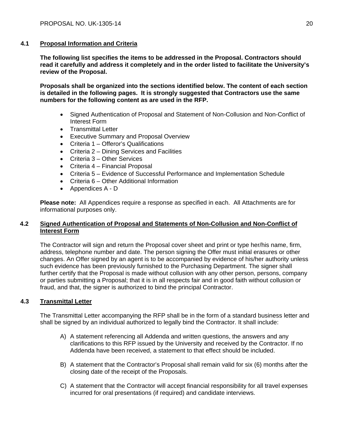# **4.1 Proposal Information and Criteria**

**The following list specifies the items to be addressed in the Proposal. Contractors should read it carefully and address it completely and in the order listed to facilitate the University's review of the Proposal.**

**Proposals shall be organized into the sections identified below. The content of each section is detailed in the following pages. It is strongly suggested that Contractors use the same numbers for the following content as are used in the RFP.**

- Signed Authentication of Proposal and Statement of Non-Collusion and Non-Conflict of Interest Form
- Transmittal Letter
- Executive Summary and Proposal Overview
- Criteria 1 Offeror's Qualifications
- Criteria 2 Dining Services and Facilities
- Criteria 3 Other Services
- Criteria 4 Financial Proposal
- Criteria 5 Evidence of Successful Performance and Implementation Schedule
- Criteria 6 Other Additional Information
- Appendices A D

**Please note:** All Appendices require a response as specified in each. All Attachments are for informational purposes only.

# **4.2 Signed Authentication of Proposal and Statements of Non-Collusion and Non-Conflict of Interest Form**

The Contractor will sign and return the Proposal cover sheet and print or type her/his name, firm, address, telephone number and date. The person signing the Offer must initial erasures or other changes. An Offer signed by an agent is to be accompanied by evidence of his/her authority unless such evidence has been previously furnished to the Purchasing Department. The signer shall further certify that the Proposal is made without collusion with any other person, persons, company or parties submitting a Proposal; that it is in all respects fair and in good faith without collusion or fraud, and that, the signer is authorized to bind the principal Contractor.

# **4.3 Transmittal Letter**

The Transmittal Letter accompanying the RFP shall be in the form of a standard business letter and shall be signed by an individual authorized to legally bind the Contractor. It shall include:

- A) A statement referencing all Addenda and written questions, the answers and any clarifications to this RFP issued by the University and received by the Contractor. If no Addenda have been received, a statement to that effect should be included.
- B) A statement that the Contractor's Proposal shall remain valid for six (6) months after the closing date of the receipt of the Proposals.
- C) A statement that the Contractor will accept financial responsibility for all travel expenses incurred for oral presentations (if required) and candidate interviews.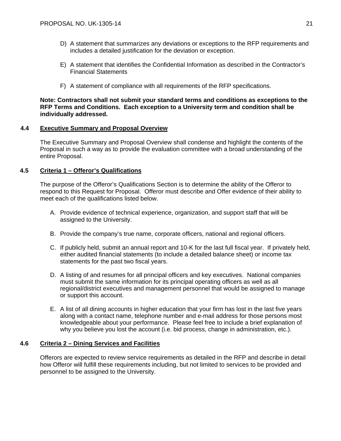- D) A statement that summarizes any deviations or exceptions to the RFP requirements and includes a detailed justification for the deviation or exception.
- E) A statement that identifies the Confidential Information as described in the Contractor's Financial Statements
- F) A statement of compliance with all requirements of the RFP specifications.

# **Note: Contractors shall not submit your standard terms and conditions as exceptions to the RFP Terms and Conditions. Each exception to a University term and condition shall be individually addressed.**

# **4.4 Executive Summary and Proposal Overview**

The Executive Summary and Proposal Overview shall condense and highlight the contents of the Proposal in such a way as to provide the evaluation committee with a broad understanding of the entire Proposal.

# **4.5 Criteria 1 – Offeror's Qualifications**

The purpose of the Offeror's Qualifications Section is to determine the ability of the Offeror to respond to this Request for Proposal. Offeror must describe and Offer evidence of their ability to meet each of the qualifications listed below.

- A. Provide evidence of technical experience, organization, and support staff that will be assigned to the University.
- B. Provide the company's true name, corporate officers, national and regional officers.
- C. If publicly held, submit an annual report and 10-K for the last full fiscal year. If privately held, either audited financial statements (to include a detailed balance sheet) or income tax statements for the past two fiscal years.
- D. A listing of and resumes for all principal officers and key executives. National companies must submit the same information for its principal operating officers as well as all regional/district executives and management personnel that would be assigned to manage or support this account.
- E. A list of all dining accounts in higher education that your firm has lost in the last five years along with a contact name, telephone number and e-mail address for those persons most knowledgeable about your performance. Please feel free to include a brief explanation of why you believe you lost the account (i.e. bid process, change in administration, etc.).

# **4.6 Criteria 2 – Dining Services and Facilities**

Offerors are expected to review service requirements as detailed in the RFP and describe in detail how Offeror will fulfill these requirements including, but not limited to services to be provided and personnel to be assigned to the University.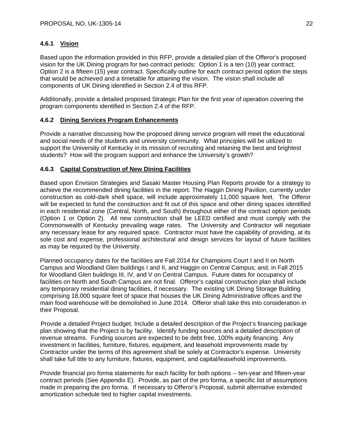# **4.6.1 Vision**

Based upon the information provided in this RFP, provide a detailed plan of the Offeror's proposed vision for the UK Dining program for two contract periods: Option 1 is a ten (10) year contract; Option 2 is a fifteen (15) year contract. Specifically outline for each contract period option the steps that would be achieved and a timetable for attaining the vision. The vision shall include all components of UK Dining identified in Section 2.4 of this RFP.

Additionally, provide a detailed proposed Strategic Plan for the first year of operation covering the program components identified in Section 2.4 of the RFP.

# **4.6.2 Dining Services Program Enhancements**

Provide a narrative discussing how the proposed dining service program will meet the educational and social needs of the students and university community. What principles will be utilized to support the University of Kentucky in its mission of recruiting and retaining the best and brightest students? How will the program support and enhance the University's growth?

# **4.6.3 Capital Construction of New Dining Facilities**

Based upon Envision Strategies and Sasaki Master Housing Plan Reports provide for a strategy to achieve the recommended dining facilities in the report. The Haggin Dining Pavilion, currently under construction as cold-dark shell space, will include approximately 11,000 square feet. The Offeror will be expected to fund the construction and fit out of this space and other dining spaces identified in each residential zone (Central, North, and South) throughout either of the contract option periods (Option 1 or Option 2). All new construction shall be LEED certified and must comply with the Commonwealth of Kentucky prevailing wage rates. The University and Contractor will negotiate any necessary lease for any required space. Contractor must have the capability of providing, at its sole cost and expense, professional architectural and design services for layout of future facilities as may be required by the University.

Planned occupancy dates for the facilities are Fall 2014 for Champions Court I and II on North Campus and Woodland Glen buildings I and II, and Haggin on Central Campus; and, in Fall 2015 for Woodland Glen buildings III, IV, and V on Central Campus. Future dates for occupancy of facilities on North and South Campus are not final. Offeror's capital construction plan shall include any temporary residential dining facilities, if necessary. The existing UK Dining Storage Building comprising 18,000 square feet of space that houses the UK Dining Administrative offices and the main food warehouse will be demolished in June 2014. Offeror shall take this into consideration in their Proposal.

Provide a detailed Project budget. Include a detailed description of the Project's financing package plan showing that the Project is by facility. Identify funding sources and a detailed description of revenue streams. Funding sources are expected to be debt free, 100% equity financing. Any investment in facilities, furniture, fixtures, equipment, and leasehold improvements made by Contractor under the terms of this agreement shall be solely at Contractor's expense. University shall take full title to any furniture, fixtures, equipment, and capital/leasehold improvements.

Provide financial pro forma statements for each facility for both options -- ten-year and fifteen-year contract periods (See Appendix E). Provide, as part of the pro forma, a specific list of assumptions made in preparing the pro forma. If necessary to Offeror's Proposal, submit alternative extended amortization schedule tied to higher capital investments.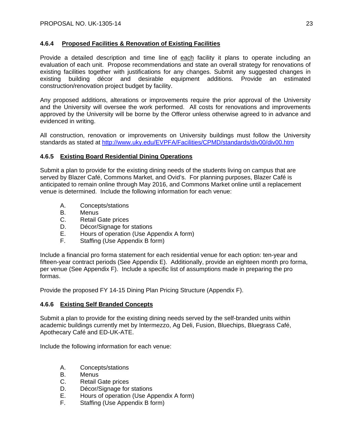# **4.6.4 Proposed Facilities & Renovation of Existing Facilities**

Provide a detailed description and time line of each facility it plans to operate including an evaluation of each unit. Propose recommendations and state an overall strategy for renovations of existing facilities together with justifications for any changes. Submit any suggested changes in existing building décor and desirable equipment additions. Provide an estimated construction/renovation project budget by facility.

Any proposed additions, alterations or improvements require the prior approval of the University and the University will oversee the work performed. All costs for renovations and improvements approved by the University will be borne by the Offeror unless otherwise agreed to in advance and evidenced in writing.

All construction, renovation or improvements on University buildings must follow the University standards as stated at http://www.uky.edu/EVPFA/Facilities/CPMD/standards/div00/div00.htm

# **4.6.5 Existing Board Residential Dining Operations**

Submit a plan to provide for the existing dining needs of the students living on campus that are served by Blazer Café, Commons Market, and Ovid's. For planning purposes, Blazer Café is anticipated to remain online through May 2016, and Commons Market online until a replacement venue is determined. Include the following information for each venue:

- A. Concepts/stations
- B. Menus<br>C. Retail (
- Retail Gate prices
- D. Décor/Signage for stations
- E. Hours of operation (Use Appendix A form)
- F. Staffing (Use Appendix B form)

Include a financial pro forma statement for each residential venue for each option: ten-year and fifteen-year contract periods (See Appendix E). Additionally, provide an eighteen month pro forma, per venue (See Appendix F). Include a specific list of assumptions made in preparing the pro formas.

Provide the proposed FY 14-15 Dining Plan Pricing Structure (Appendix F).

# **4.6.6 Existing Self Branded Concepts**

Submit a plan to provide for the existing dining needs served by the self-branded units within academic buildings currently met by Intermezzo, Ag Deli, Fusion, Bluechips, Bluegrass Café, Apothecary Café and ED-UK-ATE.

Include the following information for each venue:

- A. Concepts/stations
- B. Menus
- C. Retail Gate prices
- D. Décor/Signage for stations
- E. Hours of operation (Use Appendix A form)
- F. Staffing (Use Appendix B form)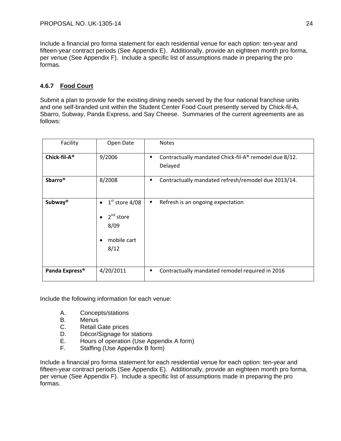Include a financial pro forma statement for each residential venue for each option: ten-year and fifteen-year contract periods (See Appendix E). Additionally, provide an eighteen month pro forma, per venue (See Appendix F). Include a specific list of assumptions made in preparing the pro formas.

# **4.6.7 Food Court**

Submit a plan to provide for the existing dining needs served by the four national franchise units and one self-branded unit within the Student Center Food Court presently served by Chick-fil-A, Sbarro, Subway, Panda Express, and Say Cheese. Summaries of the current agreements are as follows:

| Facility                   | Open Date                                                                                | <b>Notes</b>                                                          |
|----------------------------|------------------------------------------------------------------------------------------|-----------------------------------------------------------------------|
| Chick-fil-A <sup>®</sup>   | 9/2006                                                                                   | Contractually mandated Chick-fil-A® remodel due 8/12.<br>٠<br>Delayed |
| <b>Sbarro</b> <sup>®</sup> | 8/2008                                                                                   | Contractually mandated refresh/remodel due 2013/14.<br>٠              |
| <b>Subway®</b>             | $1st$ store 4/08<br>$\bullet$<br>$2nd$ store<br>$\bullet$<br>8/09<br>mobile cart<br>8/12 | Refresh is an ongoing expectation<br>٠                                |
| Panda Express <sup>®</sup> | 4/20/2011                                                                                | Contractually mandated remodel required in 2016<br>٠                  |

Include the following information for each venue:

- A. Concepts/stations
- B. Menus
- C. Retail Gate prices
- D. Décor/Signage for stations
- E. Hours of operation (Use Appendix A form)
- F. Staffing (Use Appendix B form)

Include a financial pro forma statement for each residential venue for each option: ten-year and fifteen-year contract periods (See Appendix E). Additionally, provide an eighteen month pro forma, per venue (See Appendix F). Include a specific list of assumptions made in preparing the pro formas.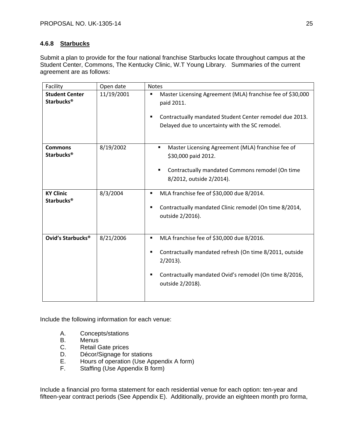# **4.6.8 Starbucks**

Submit a plan to provide for the four national franchise Starbucks locate throughout campus at the Student Center, Commons, The Kentucky Clinic, W.T Young Library. Summaries of the current agreement are as follows:

| Facility                                              | Open date  | <b>Notes</b>                                                                                                                                                                                                |
|-------------------------------------------------------|------------|-------------------------------------------------------------------------------------------------------------------------------------------------------------------------------------------------------------|
| <b>Student Center</b><br><b>Starbucks<sup>®</sup></b> | 11/19/2001 | Master Licensing Agreement (MLA) franchise fee of \$30,000<br>٠<br>paid 2011.<br>Contractually mandated Student Center remodel due 2013.<br>٠<br>Delayed due to uncertainty with the SC remodel.            |
| <b>Commons</b><br><b>Starbucks<sup>®</sup></b>        | 8/19/2002  | Master Licensing Agreement (MLA) franchise fee of<br>٠<br>\$30,000 paid 2012.<br>Contractually mandated Commons remodel (On time<br>8/2012, outside 2/2014).                                                |
| <b>KY Clinic</b><br><b>Starbucks<sup>®</sup></b>      | 8/3/2004   | MLA franchise fee of \$30,000 due 8/2014.<br>٠<br>Contractually mandated Clinic remodel (On time 8/2014,<br>٠<br>outside 2/2016).                                                                           |
| Ovid's Starbucks <sup>®</sup>                         | 8/21/2006  | MLA franchise fee of \$30,000 due 8/2016.<br>٠<br>Contractually mandated refresh (On time 8/2011, outside<br>$2/2013$ ).<br>Contractually mandated Ovid's remodel (On time 8/2016,<br>٠<br>outside 2/2018). |

Include the following information for each venue:

- A. Concepts/stations<br>B. Menus
- **Menus**
- C. Retail Gate prices
- D. Décor/Signage for stations
- E. Hours of operation (Use Appendix A form)
- F. Staffing (Use Appendix B form)

Include a financial pro forma statement for each residential venue for each option: ten-year and fifteen-year contract periods (See Appendix E). Additionally, provide an eighteen month pro forma,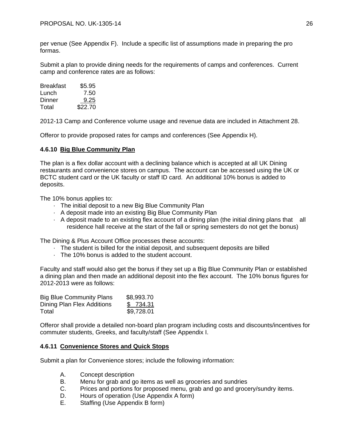per venue (See Appendix F). Include a specific list of assumptions made in preparing the pro formas.

Submit a plan to provide dining needs for the requirements of camps and conferences. Current camp and conference rates are as follows:

| Breakfast | \$5.95  |
|-----------|---------|
| Lunch     | 7.50    |
| Dinner    | 9.25    |
| Total     | \$22.70 |

2012-13 Camp and Conference volume usage and revenue data are included in Attachment 28.

Offeror to provide proposed rates for camps and conferences (See Appendix H).

# **4.6.10 Big Blue Community Plan**

The plan is a flex dollar account with a declining balance which is accepted at all UK Dining restaurants and convenience stores on campus. The account can be accessed using the UK or BCTC student card or the UK faculty or staff ID card. An additional 10% bonus is added to deposits.

The 10% bonus applies to:

- · The initial deposit to a new Big Blue Community Plan
- · A deposit made into an existing Big Blue Community Plan
- · A deposit made to an existing flex account of a dining plan (the initial dining plans that all residence hall receive at the start of the fall or spring semesters do not get the bonus)

The Dining & Plus Account Office processes these accounts:

- · The student is billed for the initial deposit, and subsequent deposits are billed
- · The 10% bonus is added to the student account.

Faculty and staff would also get the bonus if they set up a Big Blue Community Plan or established a dining plan and then made an additional deposit into the flex account. The 10% bonus figures for 2012-2013 were as follows:

| <b>Big Blue Community Plans</b> | \$8,993.70 |
|---------------------------------|------------|
| Dining Plan Flex Additions      | \$734.31   |
| Total                           | \$9,728.01 |

Offeror shall provide a detailed non-board plan program including costs and discounts/incentives for commuter students, Greeks, and faculty/staff (See Appendix I.

# **4.6.11 Convenience Stores and Quick Stops**

Submit a plan for Convenience stores; include the following information:

- A. Concept description
- B. Menu for grab and go items as well as groceries and sundries
- C. Prices and portions for proposed menu, grab and go and grocery/sundry items.
- D. Hours of operation (Use Appendix A form)
- E. Staffing (Use Appendix B form)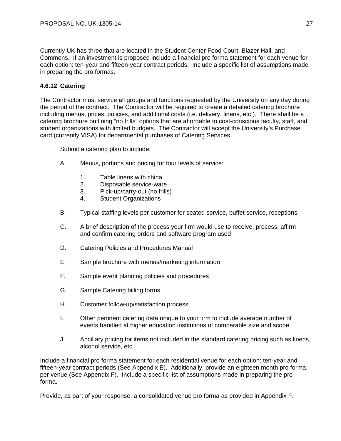Currently UK has three that are located in the Student Center Food Court, Blazer Hall, and Commons. If an investment is proposed include a financial pro forma statement for each venue for each option: ten-year and fifteen-year contract periods. Include a specific list of assumptions made in preparing the pro formas.

# **4.6.12 Catering**

The Contractor must service all groups and functions requested by the University on any day during the period of the contract. The Contractor will be required to create a detailed catering brochure including menus, prices, policies, and additional costs (i.e. delivery, linens, etc.). There shall be a catering brochure outlining "no frills" options that are affordable to cost-conscious faculty, staff, and student organizations with limited budgets. The Contractor will accept the University's Purchase card (currently VISA) for departmental purchases of Catering Services.

Submit a catering plan to include:

- A. Menus, portions and pricing for four levels of service:
	- 1. Table linens with china
	- 2. Disposable service-ware
	- 3. Pick-up/carry-out (no frills)
	- 4. Student Organizations
- B. Typical staffing levels per customer for seated service, buffet service, receptions
- C. A brief description of the process your firm would use to receive, process, affirm and confirm catering orders and software program used
- D. Catering Policies and Procedures Manual
- E. Sample brochure with menus/marketing information
- F. Sample event planning policies and procedures
- G. Sample Catering billing forms
- H. Customer follow-up/satisfaction process
- I. Other pertinent catering data unique to your firm to include average number of events handled at higher education institutions of comparable size and scope.
- J. Ancillary pricing for items not included in the standard catering pricing such as linens, alcohol service, etc.

Include a financial pro forma statement for each residential venue for each option: ten-year and fifteen-year contract periods (See Appendix E). Additionally, provide an eighteen month pro forma, per venue (See Appendix F). Include a specific list of assumptions made in preparing the pro forma.

Provide, as part of your response, a consolidated venue pro forma as provided in Appendix F.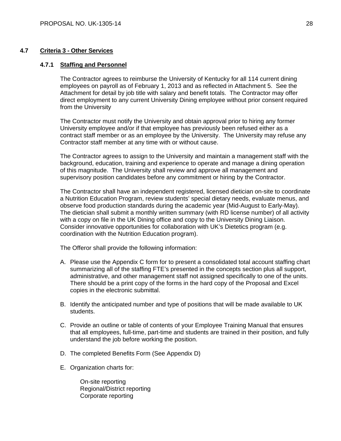# **4.7 Criteria 3 - Other Services**

# **4.7.1 Staffing and Personnel**

The Contractor agrees to reimburse the University of Kentucky for all 114 current dining employees on payroll as of February 1, 2013 and as reflected in Attachment 5. See the Attachment for detail by job title with salary and benefit totals. The Contractor may offer direct employment to any current University Dining employee without prior consent required from the University

The Contractor must notify the University and obtain approval prior to hiring any former University employee and/or if that employee has previously been refused either as a contract staff member or as an employee by the University. The University may refuse any Contractor staff member at any time with or without cause.

The Contractor agrees to assign to the University and maintain a management staff with the background, education, training and experience to operate and manage a dining operation of this magnitude. The University shall review and approve all management and supervisory position candidates before any commitment or hiring by the Contractor.

The Contractor shall have an independent registered, licensed dietician on-site to coordinate a Nutrition Education Program, review students' special dietary needs, evaluate menus, and observe food production standards during the academic year (Mid-August to Early-May). The dietician shall submit a monthly written summary (with RD license number) of all activity with a copy on file in the UK Dining office and copy to the University Dining Liaison. Consider innovative opportunities for collaboration with UK's Dietetics program (e.g. coordination with the Nutrition Education program).

The Offeror shall provide the following information:

- A. Please use the Appendix C form for to present a consolidated total account staffing chart summarizing all of the staffing FTE's presented in the concepts section plus all support, administrative, and other management staff not assigned specifically to one of the units. There should be a print copy of the forms in the hard copy of the Proposal and Excel copies in the electronic submittal.
- B. Identify the anticipated number and type of positions that will be made available to UK students.
- C. Provide an outline or table of contents of your Employee Training Manual that ensures that all employees, full-time, part-time and students are trained in their position, and fully understand the job before working the position.
- D. The completed Benefits Form (See Appendix D)
- E. Organization charts for:

On-site reporting Regional/District reporting Corporate reporting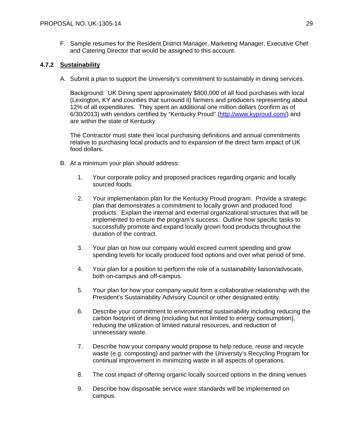F. Sample resumes for the Resident District Manager, Marketing Manager, Executive Chef and Catering Director that would be assigned to this account.

# **4.7.2 Sustainability**

A. Submit a plan to support the University's commitment to sustainably in dining services.

Background: UK Dining spent approximately \$800,000 of all food purchases with local (Lexington, KY and counties that surround it) farmers and producers representing about 12% of all expenditures. They spent an additional one million dollars (confirm as of 6/30/2013) with vendors certified by "Kentucky Proud" (http://www.kyproud.com/) and are within the state of Kentucky.

The Contractor must state their local purchasing definitions and annual commitments relative to purchasing local products and to expansion of the direct farm impact of UK food dollars.

- B. At a minimum your plan should address:
	- 1. Your corporate policy and proposed practices regarding organic and locally sourced foods.
	- 2. Your implementation plan for the Kentucky Proud program. Provide a strategic plan that demonstrates a commitment to locally grown and produced food products. Explain the internal and external organizational structures that will be implemented to ensure the program's success. Outline how specific tasks to successfully promote and expand locally grown food products throughout the duration of the contract.
	- 3. Your plan on how our company would exceed current spending and grow spending levels for locally produced food options and over what period of time.
	- 4. Your plan for a position to perform the role of a sustainability liaison/advocate, both on-campus and off-campus.
	- 5. Your plan for how your company would form a collaborative relationship with the President's Sustainability Advisory Council or other designated entity.
	- 6. Describe your commitment to environmental sustainability including reducing the carbon footprint of dining (including but not limited to energy consumption), reducing the utilization of limited natural resources, and reduction of unnecessary waste.
	- 7. Describe how your company would propose to help reduce, reuse and recycle waste (e.g. composting) and partner with the University's Recycling Program for continual improvement in minimizing waste in all aspects of operations.
	- 8. The cost impact of offering organic locally sourced options in the dining venues
	- 9. Describe how disposable service ware standards will be implemented on campus.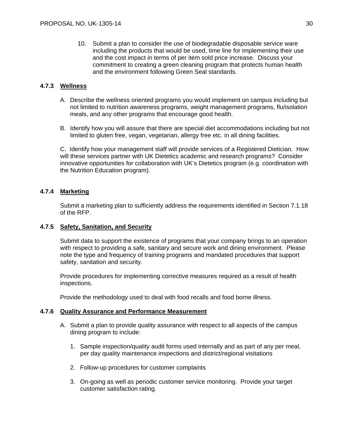10. Submit a plan to consider the use of biodegradable disposable service ware including the products that would be used, time line for implementing their use and the cost impact in terms of per item sold price increase. Discuss your commitment to creating a green cleaning program that protects human health and the environment following Green Seal standards.

# **4.7.3 Wellness**

- A. Describe the wellness oriented programs you would implement on campus including but not limited to nutrition awareness programs, weight management programs, flu/isolation meals, and any other programs that encourage good health.
- B. Identify how you will assure that there are special diet accommodations including but not limited to gluten free, vegan, vegetarian, allergy free etc. in all dining facilities.

C. Identify how your management staff will provide services of a Registered Dietician. How will these services partner with UK Dietetics academic and research programs? Consider innovative opportunities for collaboration with UK's Dietetics program (e.g. coordination with the Nutrition Education program).

# **4.7.4 Marketing**

Submit a marketing plan to sufficiently address the requirements identified in Section 7.1.18 of the RFP.

# **4.7.5 Safety, Sanitation, and Security**

Submit data to support the existence of programs that your company brings to an operation with respect to providing a safe, sanitary and secure work and dining environment. Please note the type and frequency of training programs and mandated procedures that support safety, sanitation and security.

Provide procedures for implementing corrective measures required as a result of health inspections.

Provide the methodology used to deal with food recalls and food borne illness.

# **4.7.6 Quality Assurance and Performance Measurement**

- A. Submit a plan to provide quality assurance with respect to all aspects of the campus dining program to include:
	- 1. Sample inspection/quality audit forms used internally and as part of any per meal, per day quality maintenance inspections and district/regional visitations
	- 2. Follow-up procedures for customer complaints
	- 3. On-going as well as periodic customer service monitoring. Provide your target customer satisfaction rating.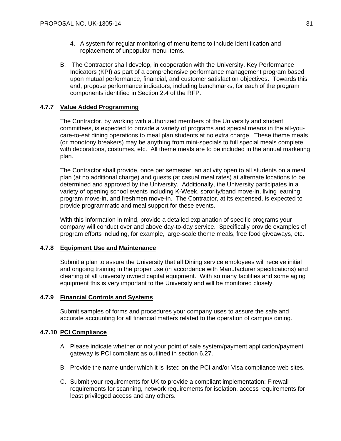- 4. A system for regular monitoring of menu items to include identification and replacement of unpopular menu items.
- B. The Contractor shall develop, in cooperation with the University, Key Performance Indicators (KPI) as part of a comprehensive performance management program based upon mutual performance, financial, and customer satisfaction objectives. Towards this end, propose performance indicators, including benchmarks, for each of the program components identified in Section 2.4 of the RFP.

# **4.7.7 Value Added Programming**

The Contractor, by working with authorized members of the University and student committees, is expected to provide a variety of programs and special means in the all-youcare-to-eat dining operations to meal plan students at no extra charge. These theme meals (or monotony breakers) may be anything from mini-specials to full special meals complete with decorations, costumes, etc. All theme meals are to be included in the annual marketing plan.

The Contractor shall provide, once per semester, an activity open to all students on a meal plan (at no additional charge) and guests (at casual meal rates) at alternate locations to be determined and approved by the University. Additionally, the University participates in a variety of opening school events including K-Week, sorority/band move-in, living learning program move-in, and freshmen move-in. The Contractor, at its expensed, is expected to provide programmatic and meal support for these events.

With this information in mind, provide a detailed explanation of specific programs your company will conduct over and above day-to-day service. Specifically provide examples of program efforts including, for example, large-scale theme meals, free food giveaways, etc.

# **4.7.8 Equipment Use and Maintenance**

Submit a plan to assure the University that all Dining service employees will receive initial and ongoing training in the proper use (in accordance with Manufacturer specifications) and cleaning of all university owned capital equipment. With so many facilities and some aging equipment this is very important to the University and will be monitored closely.

# **4.7.9 Financial Controls and Systems**

Submit samples of forms and procedures your company uses to assure the safe and accurate accounting for all financial matters related to the operation of campus dining.

# **4.7.10 PCI Compliance**

- A. Please indicate whether or not your point of sale system/payment application/payment gateway is PCI compliant as outlined in section 6.27.
- B. Provide the name under which it is listed on the PCI and/or Visa compliance web sites.
- C. Submit your requirements for UK to provide a compliant implementation: Firewall requirements for scanning, network requirements for isolation, access requirements for least privileged access and any others.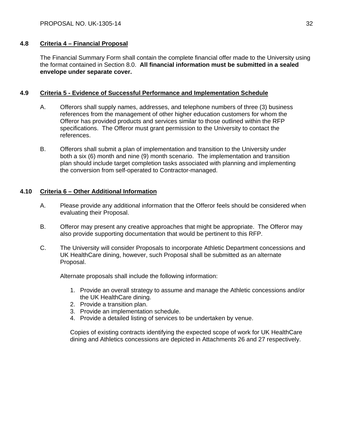# **4.8 Criteria 4 – Financial Proposal**

The Financial Summary Form shall contain the complete financial offer made to the University using the format contained in Section 8.0. **All financial information must be submitted in a sealed envelope under separate cover.**

# **4.9 Criteria 5 - Evidence of Successful Performance and Implementation Schedule**

- A. Offerors shall supply names, addresses, and telephone numbers of three (3) business references from the management of other higher education customers for whom the Offeror has provided products and services similar to those outlined within the RFP specifications. The Offeror must grant permission to the University to contact the references.
- B. Offerors shall submit a plan of implementation and transition to the University under both a six (6) month and nine (9) month scenario. The implementation and transition plan should include target completion tasks associated with planning and implementing the conversion from self-operated to Contractor-managed.

# **4.10 Criteria 6 – Other Additional Information**

- A. Please provide any additional information that the Offeror feels should be considered when evaluating their Proposal.
- B. Offeror may present any creative approaches that might be appropriate. The Offeror may also provide supporting documentation that would be pertinent to this RFP.
- C. The University will consider Proposals to incorporate Athletic Department concessions and UK HealthCare dining, however, such Proposal shall be submitted as an alternate Proposal.

Alternate proposals shall include the following information:

- 1. Provide an overall strategy to assume and manage the Athletic concessions and/or the UK HealthCare dining.
- 2. Provide a transition plan.
- 3. Provide an implementation schedule.
- 4. Provide a detailed listing of services to be undertaken by venue.

Copies of existing contracts identifying the expected scope of work for UK HealthCare dining and Athletics concessions are depicted in Attachments 26 and 27 respectively.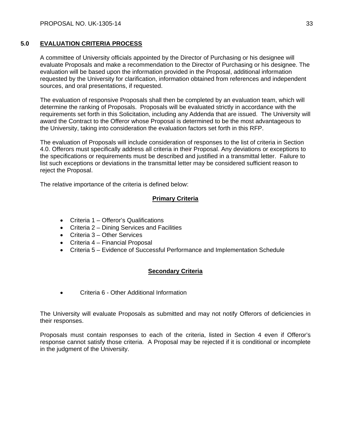# **5.0 EVALUATION CRITERIA PROCESS**

A committee of University officials appointed by the Director of Purchasing or his designee will evaluate Proposals and make a recommendation to the Director of Purchasing or his designee. The evaluation will be based upon the information provided in the Proposal, additional information requested by the University for clarification, information obtained from references and independent sources, and oral presentations, if requested.

The evaluation of responsive Proposals shall then be completed by an evaluation team, which will determine the ranking of Proposals. Proposals will be evaluated strictly in accordance with the requirements set forth in this Solicitation, including any Addenda that are issued. The University will award the Contract to the Offeror whose Proposal is determined to be the most advantageous to the University, taking into consideration the evaluation factors set forth in this RFP.

The evaluation of Proposals will include consideration of responses to the list of criteria in Section 4.0. Offerors must specifically address all criteria in their Proposal. Any deviations or exceptions to the specifications or requirements must be described and justified in a transmittal letter. Failure to list such exceptions or deviations in the transmittal letter may be considered sufficient reason to reject the Proposal.

The relative importance of the criteria is defined below:

# **Primary Criteria**

- Criteria 1 Offeror's Qualifications
- Criteria 2 Dining Services and Facilities
- Criteria 3 Other Services
- Criteria 4 Financial Proposal
- Criteria 5 Evidence of Successful Performance and Implementation Schedule

# **Secondary Criteria**

Criteria 6 - Other Additional Information

The University will evaluate Proposals as submitted and may not notify Offerors of deficiencies in their responses.

Proposals must contain responses to each of the criteria, listed in Section 4 even if Offeror's response cannot satisfy those criteria. A Proposal may be rejected if it is conditional or incomplete in the judgment of the University.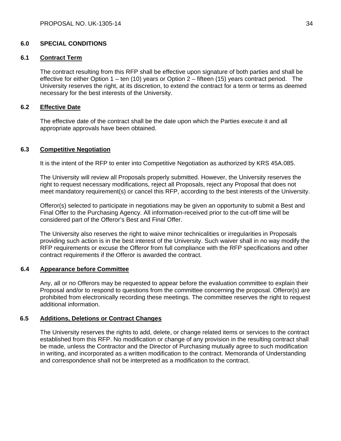# **6.0 SPECIAL CONDITIONS**

# **6.1 Contract Term**

The contract resulting from this RFP shall be effective upon signature of both parties and shall be effective for either Option  $1 - \text{ten}$  (10) years or Option  $2 - \text{fifteen}$  (15) years contract period. The University reserves the right, at its discretion, to extend the contract for a term or terms as deemed necessary for the best interests of the University.

# **6.2 Effective Date**

The effective date of the contract shall be the date upon which the Parties execute it and all appropriate approvals have been obtained.

# **6.3 Competitive Negotiation**

It is the intent of the RFP to enter into Competitive Negotiation as authorized by KRS 45A.085.

The University will review all Proposals properly submitted. However, the University reserves the right to request necessary modifications, reject all Proposals, reject any Proposal that does not meet mandatory requirement(s) or cancel this RFP, according to the best interests of the University.

Offeror(s) selected to participate in negotiations may be given an opportunity to submit a Best and Final Offer to the Purchasing Agency. All information-received prior to the cut-off time will be considered part of the Offeror's Best and Final Offer.

The University also reserves the right to waive minor technicalities or irregularities in Proposals providing such action is in the best interest of the University. Such waiver shall in no way modify the RFP requirements or excuse the Offeror from full compliance with the RFP specifications and other contract requirements if the Offeror is awarded the contract.

# **6.4 Appearance before Committee**

Any, all or no Offerors may be requested to appear before the evaluation committee to explain their Proposal and/or to respond to questions from the committee concerning the proposal. Offeror(s) are prohibited from electronically recording these meetings. The committee reserves the right to request additional information.

# **6.5 Additions, Deletions or Contract Changes**

The University reserves the rights to add, delete, or change related items or services to the contract established from this RFP. No modification or change of any provision in the resulting contract shall be made, unless the Contractor and the Director of Purchasing mutually agree to such modification in writing, and incorporated as a written modification to the contract. Memoranda of Understanding and correspondence shall not be interpreted as a modification to the contract.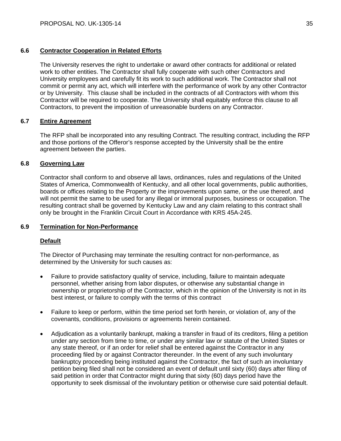# **6.6 Contractor Cooperation in Related Efforts**

The University reserves the right to undertake or award other contracts for additional or related work to other entities. The Contractor shall fully cooperate with such other Contractors and University employees and carefully fit its work to such additional work. The Contractor shall not commit or permit any act, which will interfere with the performance of work by any other Contractor or by University. This clause shall be included in the contracts of all Contractors with whom this Contractor will be required to cooperate. The University shall equitably enforce this clause to all Contractors, to prevent the imposition of unreasonable burdens on any Contractor.

# **6.7 Entire Agreement**

The RFP shall be incorporated into any resulting Contract. The resulting contract, including the RFP and those portions of the Offeror's response accepted by the University shall be the entire agreement between the parties.

# **6.8 Governing Law**

Contractor shall conform to and observe all laws, ordinances, rules and regulations of the United States of America, Commonwealth of Kentucky, and all other local governments, public authorities, boards or offices relating to the Property or the improvements upon same, or the use thereof, and will not permit the same to be used for any illegal or immoral purposes, business or occupation. The resulting contract shall be governed by Kentucky Law and any claim relating to this contract shall only be brought in the Franklin Circuit Court in Accordance with KRS 45A-245.

# **6.9 Termination for Non-Performance**

# **Default**

The Director of Purchasing may terminate the resulting contract for non-performance, as determined by the University for such causes as:

- Failure to provide satisfactory quality of service, including, failure to maintain adequate personnel, whether arising from labor disputes, or otherwise any substantial change in ownership or proprietorship of the Contractor, which in the opinion of the University is not in its best interest, or failure to comply with the terms of this contract
- Failure to keep or perform, within the time period set forth herein, or violation of, any of the covenants, conditions, provisions or agreements herein contained.
- Adjudication as a voluntarily bankrupt, making a transfer in fraud of its creditors, filing a petition under any section from time to time, or under any similar law or statute of the United States or any state thereof, or if an order for relief shall be entered against the Contractor in any proceeding filed by or against Contractor thereunder. In the event of any such involuntary bankruptcy proceeding being instituted against the Contractor, the fact of such an involuntary petition being filed shall not be considered an event of default until sixty (60) days after filing of said petition in order that Contractor might during that sixty (60) days period have the opportunity to seek dismissal of the involuntary petition or otherwise cure said potential default.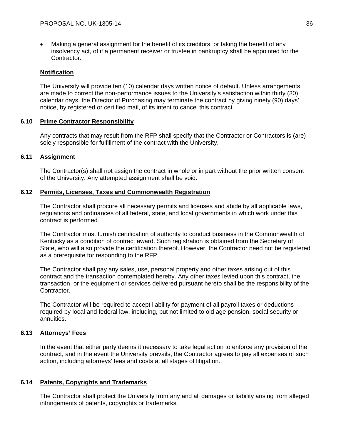Making a general assignment for the benefit of its creditors, or taking the benefit of any insolvency act, of if a permanent receiver or trustee in bankruptcy shall be appointed for the Contractor.

# **Notification**

The University will provide ten (10) calendar days written notice of default. Unless arrangements are made to correct the non-performance issues to the University's satisfaction within thirty (30) calendar days, the Director of Purchasing may terminate the contract by giving ninety (90) days' notice, by registered or certified mail, of its intent to cancel this contract.

# **6.10 Prime Contractor Responsibility**

Any contracts that may result from the RFP shall specify that the Contractor or Contractors is (are) solely responsible for fulfillment of the contract with the University.

# **6.11 Assignment**

The Contractor(s) shall not assign the contract in whole or in part without the prior written consent of the University. Any attempted assignment shall be void.

# **6.12 Permits, Licenses, Taxes and Commonwealth Registration**

The Contractor shall procure all necessary permits and licenses and abide by all applicable laws, regulations and ordinances of all federal, state, and local governments in which work under this contract is performed.

The Contractor must furnish certification of authority to conduct business in the Commonwealth of Kentucky as a condition of contract award. Such registration is obtained from the Secretary of State, who will also provide the certification thereof. However, the Contractor need not be registered as a prerequisite for responding to the RFP.

The Contractor shall pay any sales, use, personal property and other taxes arising out of this contract and the transaction contemplated hereby. Any other taxes levied upon this contract, the transaction, or the equipment or services delivered pursuant hereto shall be the responsibility of the Contractor.

The Contractor will be required to accept liability for payment of all payroll taxes or deductions required by local and federal law, including, but not limited to old age pension, social security or annuities.

# **6.13 Attorneys' Fees**

In the event that either party deems it necessary to take legal action to enforce any provision of the contract, and in the event the University prevails, the Contractor agrees to pay all expenses of such action, including attorneys' fees and costs at all stages of litigation.

# **6.14 Patents, Copyrights and Trademarks**

The Contractor shall protect the University from any and all damages or liability arising from alleged infringements of patents, copyrights or trademarks.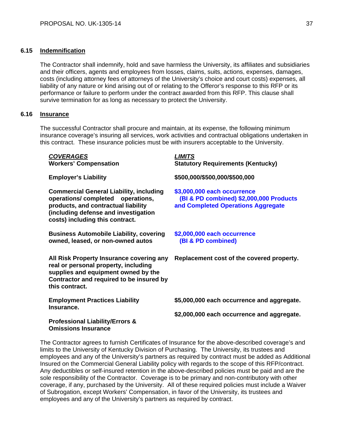# **6.15 Indemnification**

The Contractor shall indemnify, hold and save harmless the University, its affiliates and subsidiaries and their officers, agents and employees from losses, claims, suits, actions, expenses, damages, costs (including attorney fees of attorneys of the University's choice and court costs) expenses, all liability of any nature or kind arising out of or relating to the Offeror's response to this RFP or its performance or failure to perform under the contract awarded from this RFP. This clause shall survive termination for as long as necessary to protect the University.

# **6.16 Insurance**

The successful Contractor shall procure and maintain, at its expense, the following minimum insurance coverage's insuring all services, work activities and contractual obligations undertaken in this contract. These insurance policies must be with insurers acceptable to the University.

| <b>COVERAGES</b><br><b>Workers' Compensation</b>                                                                                                                                                     | <b>LIMITS</b><br><b>Statutory Requirements (Kentucky)</b>                                                    |
|------------------------------------------------------------------------------------------------------------------------------------------------------------------------------------------------------|--------------------------------------------------------------------------------------------------------------|
| <b>Employer's Liability</b>                                                                                                                                                                          | \$500,000/\$500,000/\$500,000                                                                                |
| <b>Commercial General Liability, including</b><br>operations/completed operations,<br>products, and contractual liability<br>(including defense and investigation<br>costs) including this contract. | \$3,000,000 each occurrence<br>(BI & PD combined) \$2,000,000 Products<br>and Completed Operations Aggregate |
| <b>Business Automobile Liability, covering</b><br>owned, leased, or non-owned autos                                                                                                                  | \$2,000,000 each occurrence<br>(BI & PD combined)                                                            |
| All Risk Property Insurance covering any<br>real or personal property, including<br>supplies and equipment owned by the<br>Contractor and required to be insured by<br>this contract.                | Replacement cost of the covered property.                                                                    |
| <b>Employment Practices Liability</b><br>Insurance.                                                                                                                                                  | \$5,000,000 each occurrence and aggregate.                                                                   |
| <b>Professional Liability/Errors &amp;</b><br><b>Omissions Insurance</b>                                                                                                                             | \$2,000,000 each occurrence and aggregate.                                                                   |

The Contractor agrees to furnish Certificates of Insurance for the above-described coverage's and limits to the University of Kentucky Division of Purchasing. The University, its trustees and employees and any of the University's partners as required by contract must be added as Additional Insured on the Commercial General Liability policy with regards to the scope of this RFP/contract. Any deductibles or self-insured retention in the above-described policies must be paid and are the sole responsibility of the Contractor. Coverage is to be primary and non-contributory with other coverage, if any, purchased by the University. All of these required policies must include a Waiver of Subrogation, except Workers' Compensation, in favor of the University, its trustees and employees and any of the University's partners as required by contract.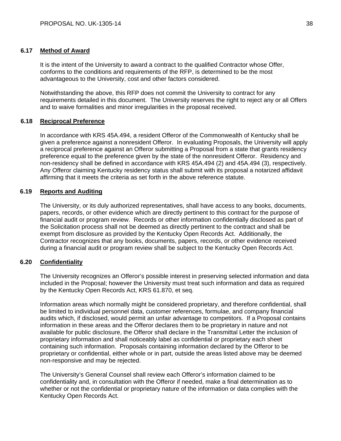# **6.17 Method of Award**

It is the intent of the University to award a contract to the qualified Contractor whose Offer, conforms to the conditions and requirements of the RFP, is determined to be the most advantageous to the University, cost and other factors considered.

Notwithstanding the above, this RFP does not commit the University to contract for any requirements detailed in this document. The University reserves the right to reject any or all Offers and to waive formalities and minor irregularities in the proposal received.

# **6.18 Reciprocal Preference**

In accordance with KRS 45A.494, a resident Offeror of the Commonwealth of Kentucky shall be given a preference against a nonresident Offeror. In evaluating Proposals, the University will apply a reciprocal preference against an Offeror submitting a Proposal from a state that grants residency preference equal to the preference given by the state of the nonresident Offeror. Residency and non-residency shall be defined in accordance with KRS 45A.494 (2) and 45A.494 (3), respectively. Any Offeror claiming Kentucky residency status shall submit with its proposal a notarized affidavit affirming that it meets the criteria as set forth in the above reference statute.

# **6.19 Reports and Auditing**

The University, or its duly authorized representatives, shall have access to any books, documents, papers, records, or other evidence which are directly pertinent to this contract for the purpose of financial audit or program review. Records or other information confidentially disclosed as part of the Solicitation process shall not be deemed as directly pertinent to the contract and shall be exempt from disclosure as provided by the Kentucky Open Records Act. Additionally, the Contractor recognizes that any books, documents, papers, records, or other evidence received during a financial audit or program review shall be subject to the Kentucky Open Records Act.

# **6.20 Confidentiality**

The University recognizes an Offeror's possible interest in preserving selected information and data included in the Proposal; however the University must treat such information and data as required by the Kentucky Open Records Act, KRS 61.870, et seq.

Information areas which normally might be considered proprietary, and therefore confidential, shall be limited to individual personnel data, customer references, formulae, and company financial audits which, if disclosed, would permit an unfair advantage to competitors. If a Proposal contains information in these areas and the Offeror declares them to be proprietary in nature and not available for public disclosure, the Offeror shall declare in the Transmittal Letter the inclusion of proprietary information and shall noticeably label as confidential or proprietary each sheet containing such information. Proposals containing information declared by the Offeror to be proprietary or confidential, either whole or in part, outside the areas listed above may be deemed non-responsive and may be rejected.

The University's General Counsel shall review each Offeror's information claimed to be confidentiality and, in consultation with the Offeror if needed, make a final determination as to whether or not the confidential or proprietary nature of the information or data complies with the Kentucky Open Records Act.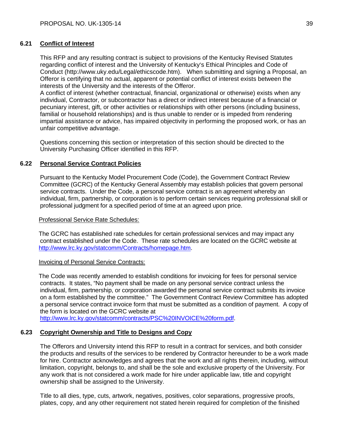# **6.21 Conflict of Interest**

This RFP and any resulting contract is subject to provisions of the Kentucky Revised Statutes regarding conflict of interest and the University of Kentucky's Ethical Principles and Code of Conduct (http://www.uky.edu/Legal/ethicscode.htm). When submitting and signing a Proposal, an Offeror is certifying that no actual, apparent or potential conflict of interest exists between the interests of the University and the interests of the Offeror.

A conflict of interest (whether contractual, financial, organizational or otherwise) exists when any individual, Contractor, or subcontractor has a direct or indirect interest because of a financial or pecuniary interest, gift, or other activities or relationships with other persons (including business, familial or household relationships) and is thus unable to render or is impeded from rendering impartial assistance or advice, has impaired objectivity in performing the proposed work, or has an unfair competitive advantage.

Questions concerning this section or interpretation of this section should be directed to the University Purchasing Officer identified in this RFP.

# **6.22 Personal Service Contract Policies**

Pursuant to the Kentucky Model Procurement Code (Code), the Government Contract Review Committee (GCRC) of the Kentucky General Assembly may establish policies that govern personal service contracts. Under the Code, a personal service contract is an agreement whereby an individual, firm, partnership, or corporation is to perform certain services requiring professional skill or professional judgment for a specified period of time at an agreed upon price.

# Professional Service Rate Schedules:

 The GCRC has established rate schedules for certain professional services and may impact any contract established under the Code. These rate schedules are located on the GCRC website at http://www.lrc.ky.gov/statcomm/Contracts/homepage.htm.

# Invoicing of Personal Service Contracts:

 The Code was recently amended to establish conditions for invoicing for fees for personal service contracts. It states, "No payment shall be made on any personal service contract unless the individual, firm, partnership, or corporation awarded the personal service contract submits its invoice on a form established by the committee." The Government Contract Review Committee has adopted a personal service contract invoice form that must be submitted as a condition of payment. A copy of the form is located on the GCRC website at

http://www.lrc.ky.gov/statcomm/contracts/PSC%20INVOICE%20form.pdf.

# **6.23 Copyright Ownership and Title to Designs and Copy**

The Offerors and University intend this RFP to result in a contract for services, and both consider the products and results of the services to be rendered by Contractor hereunder to be a work made for hire. Contractor acknowledges and agrees that the work and all rights therein, including, without limitation, copyright, belongs to, and shall be the sole and exclusive property of the University. For any work that is not considered a work made for hire under applicable law, title and copyright ownership shall be assigned to the University.

Title to all dies, type, cuts, artwork, negatives, positives, color separations, progressive proofs, plates, copy, and any other requirement not stated herein required for completion of the finished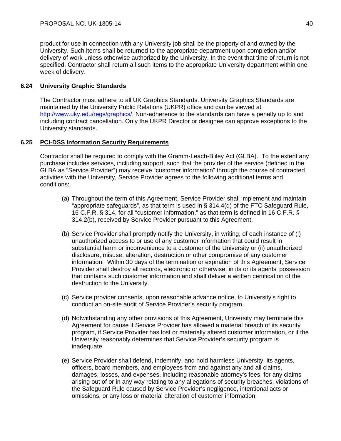product for use in connection with any University job shall be the property of and owned by the University. Such items shall be returned to the appropriate department upon completion and/or delivery of work unless otherwise authorized by the University. In the event that time of return is not specified, Contractor shall return all such items to the appropriate University department within one week of delivery.

# **6.24 University Graphic Standards**

The Contractor must adhere to all UK Graphics Standards. University Graphics Standards are maintained by the University Public Relations (UKPR) office and can be viewed at http://www.uky.edu/regs/graphics/. Non-adherence to the standards can have a penalty up to and including contract cancellation. Only the UKPR Director or designee can approve exceptions to the University standards.

# **6.25 PCI-DSS Information Security Requirements**

Contractor shall be required to comply with the Gramm-Leach-Bliley Act (GLBA). To the extent any purchase includes services, including support, such that the provider of the service (defined in the GLBA as "Service Provider") may receive "customer information" through the course of contracted activities with the University, Service Provider agrees to the following additional terms and conditions:

- (a) Throughout the term of this Agreement, Service Provider shall implement and maintain "appropriate safeguards", as that term is used in § 314.4(d) of the FTC Safeguard Rule, 16 C.F.R. § 314, for all "customer information," as that term is defined in 16 C.F.R. § 314.2(b), received by Service Provider pursuant to this Agreement.
- (b) Service Provider shall promptly notify the University, in writing, of each instance of (i) unauthorized access to or use of any customer information that could result in substantial harm or inconvenience to a customer of the University or (ii) unauthorized disclosure, misuse, alteration, destruction or other compromise of any customer information. Within 30 days of the termination or expiration of this Agreement, Service Provider shall destroy all records, electronic or otherwise, in its or its agents' possession that contains such customer information and shall deliver a written certification of the destruction to the University.
- (c) Service provider consents, upon reasonable advance notice, to University's right to conduct an on-site audit of Service Provider's security program.
- (d) Notwithstanding any other provisions of this Agreement, University may terminate this Agreement for cause if Service Provider has allowed a material breach of its security program, if Service Provider has lost or materially altered customer information, or if the University reasonably determines that Service Provider's security program is inadequate.
- (e) Service Provider shall defend, indemnify, and hold harmless University, its agents, officers, board members, and employees from and against any and all claims, damages, losses, and expenses, including reasonable attorney's fees, for any claims arising out of or in any way relating to any allegations of security breaches, violations of the Safeguard Rule caused by Service Provider's negligence, intentional acts or omissions, or any loss or material alteration of customer information.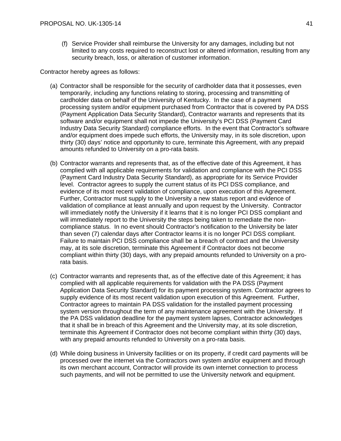(f) Service Provider shall reimburse the University for any damages, including but not limited to any costs required to reconstruct lost or altered information, resulting from any security breach, loss, or alteration of customer information.

Contractor hereby agrees as follows:

- (a) Contractor shall be responsible for the security of cardholder data that it possesses, even temporarily, including any functions relating to storing, processing and transmitting of cardholder data on behalf of the University of Kentucky. In the case of a payment processing system and/or equipment purchased from Contractor that is covered by PA DSS (Payment Application Data Security Standard), Contractor warrants and represents that its software and/or equipment shall not impede the University's PCI DSS (Payment Card Industry Data Security Standard) compliance efforts. In the event that Contractor's software and/or equipment does impede such efforts, the University may, in its sole discretion, upon thirty (30) days' notice and opportunity to cure, terminate this Agreement, with any prepaid amounts refunded to University on a pro-rata basis.
- (b) Contractor warrants and represents that, as of the effective date of this Agreement, it has complied with all applicable requirements for validation and compliance with the PCI DSS (Payment Card Industry Data Security Standard), as appropriate for its Service Provider level. Contractor agrees to supply the current status of its PCI DSS compliance, and evidence of its most recent validation of compliance, upon execution of this Agreement. Further, Contractor must supply to the University a new status report and evidence of validation of compliance at least annually and upon request by the University. Contractor will immediately notify the University if it learns that it is no longer PCI DSS compliant and will immediately report to the University the steps being taken to remediate the noncompliance status. In no event should Contractor's notification to the University be later than seven (7) calendar days after Contractor learns it is no longer PCI DSS compliant. Failure to maintain PCI DSS compliance shall be a breach of contract and the University may, at its sole discretion, terminate this Agreement if Contractor does not become compliant within thirty (30) days, with any prepaid amounts refunded to University on a prorata basis.
- (c) Contractor warrants and represents that, as of the effective date of this Agreement; it has complied with all applicable requirements for validation with the PA DSS (Payment Application Data Security Standard) for its payment processing system. Contractor agrees to supply evidence of its most recent validation upon execution of this Agreement. Further, Contractor agrees to maintain PA DSS validation for the installed payment processing system version throughout the term of any maintenance agreement with the University. If the PA DSS validation deadline for the payment system lapses, Contractor acknowledges that it shall be in breach of this Agreement and the University may, at its sole discretion, terminate this Agreement if Contractor does not become compliant within thirty (30) days, with any prepaid amounts refunded to University on a pro-rata basis.
- (d) While doing business in University facilities or on its property, if credit card payments will be processed over the internet via the Contractors own system and/or equipment and through its own merchant account, Contractor will provide its own internet connection to process such payments, and will not be permitted to use the University network and equipment.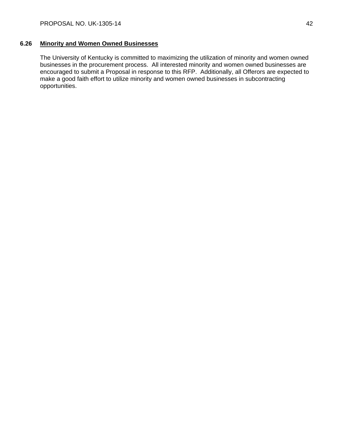# **6.26 Minority and Women Owned Businesses**

The University of Kentucky is committed to maximizing the utilization of minority and women owned businesses in the procurement process. All interested minority and women owned businesses are encouraged to submit a Proposal in response to this RFP. Additionally, all Offerors are expected to make a good faith effort to utilize minority and women owned businesses in subcontracting opportunities.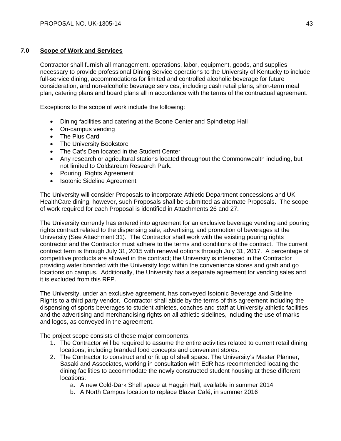# **7.0 Scope of Work and Services**

Contractor shall furnish all management, operations, labor, equipment, goods, and supplies necessary to provide professional Dining Service operations to the University of Kentucky to include full-service dining, accommodations for limited and controlled alcoholic beverage for future consideration, and non-alcoholic beverage services, including cash retail plans, short-term meal plan, catering plans and board plans all in accordance with the terms of the contractual agreement.

Exceptions to the scope of work include the following:

- Dining facilities and catering at the Boone Center and Spindletop Hall
- On-campus vending
- The Plus Card
- The University Bookstore
- The Cat's Den located in the Student Center
- Any research or agricultural stations located throughout the Commonwealth including, but not limited to Coldstream Research Park.
- Pouring Rights Agreement
- Isotonic Sideline Agreement

The University will consider Proposals to incorporate Athletic Department concessions and UK HealthCare dining, however, such Proposals shall be submitted as alternate Proposals. The scope of work required for each Proposal is identified in Attachments 26 and 27.

The University currently has entered into agreement for an exclusive beverage vending and pouring rights contract related to the dispensing sale, advertising, and promotion of beverages at the University (See Attachment 31). The Contractor shall work with the existing pouring rights contractor and the Contractor must adhere to the terms and conditions of the contract. The current contract term is through July 31, 2015 with renewal options through July 31, 2017. A percentage of competitive products are allowed in the contract; the University is interested in the Contractor providing water branded with the University logo within the convenience stores and grab and go locations on campus. Additionally, the University has a separate agreement for vending sales and it is excluded from this RFP.

The University, under an exclusive agreement, has conveyed Isotonic Beverage and Sideline Rights to a third party vendor. Contractor shall abide by the terms of this agreement including the dispensing of sports beverages to student athletes, coaches and staff at University athletic facilities and the advertising and merchandising rights on all athletic sidelines, including the use of marks and logos, as conveyed in the agreement.

The project scope consists of these major components.

- 1. The Contractor will be required to assume the entire activities related to current retail dining locations, including branded food concepts and convenient stores.
- 2. The Contractor to construct and or fit up of shell space. The University's Master Planner, Sasaki and Associates, working in consultation with EdR has recommended locating the dining facilities to accommodate the newly constructed student housing at these different locations:
	- a. A new Cold-Dark Shell space at Haggin Hall, available in summer 2014
	- b. A North Campus location to replace Blazer Café, in summer 2016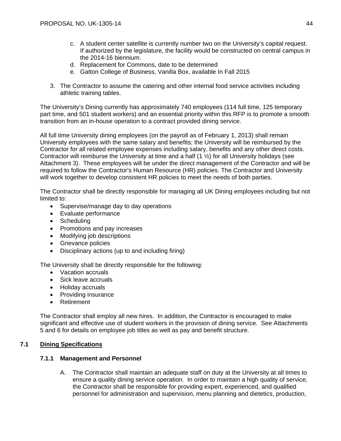- c. A student center satellite is currently number two on the University's capital request. If authorized by the legislature, the facility would be constructed on central campus in the 2014-16 biennium.
- d. Replacement for Commons, date to be determined
- e. Gatton College of Business, Vanilla Box, available In Fall 2015
- 3. The Contractor to assume the catering and other internal food service activities including athletic training tables.

The University's Dining currently has approximately 740 employees (114 full time, 125 temporary part time, and 501 student workers) and an essential priority within this RFP is to promote a smooth transition from an in-house operation to a contract provided dining service.

All full time University dining employees (on the payroll as of February 1, 2013) shall remain University employees with the same salary and benefits; the University will be reimbursed by the Contractor for all related employee expenses including salary, benefits and any other direct costs. Contractor will reimburse the University at time and a half (1 ½) for all University holidays (see Attachment 3). These employees will be under the direct management of the Contractor and will be required to follow the Contractor's Human Resource (HR) policies. The Contractor and University will work together to develop consistent HR policies to meet the needs of both parties.

The Contractor shall be directly responsible for managing all UK Dining employees including but not limited to:

- Supervise/manage day to day operations
- Evaluate performance
- Scheduling
- Promotions and pay increases
- Modifying job descriptions
- Grievance policies
- Disciplinary actions (up to and including firing)

The University shall be directly responsible for the following:

- Vacation accruals
- Sick leave accruals
- Holiday accruals
- Providing insurance
- Retirement

The Contractor shall employ all new hires. In addition, the Contractor is encouraged to make significant and effective use of student workers in the provision of dining service. See Attachments 5 and 6 for details on employee job titles as well as pay and benefit structure.

# **7.1 Dining Specifications**

# **7.1.1 Management and Personnel**

A. The Contractor shall maintain an adequate staff on duty at the University at all times to ensure a quality dining service operation. In order to maintain a high quality of service, the Contractor shall be responsible for providing expert, experienced, and qualified personnel for administration and supervision, menu planning and dietetics, production,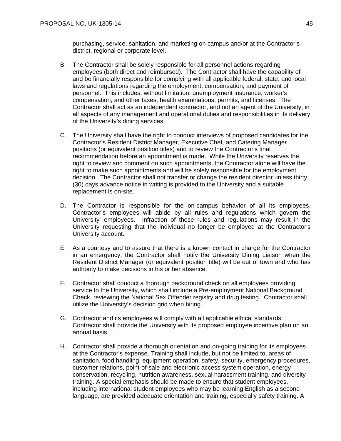purchasing, service, sanitation, and marketing on campus and/or at the Contractor's district, regional or corporate level.

- B. The Contractor shall be solely responsible for all personnel actions regarding employees (both direct and reimbursed). The Contractor shall have the capability of and be financially responsible for complying with all applicable federal, state, and local laws and regulations regarding the employment, compensation, and payment of personnel. This includes, without limitation, unemployment insurance, worker's compensation, and other taxes, health examinations, permits, and licenses. The Contractor shall act as an independent contractor, and not an agent of the University, in all aspects of any management and operational duties and responsibilities in its delivery of the University's dining services.
- C. The University shall have the right to conduct interviews of proposed candidates for the Contractor's Resident District Manager, Executive Chef, and Catering Manager positions (or equivalent position titles) and to review the Contractor's final recommendation before an appointment is made. While the University reserves the right to review and comment on such appointments, the Contractor alone will have the right to make such appointments and will be solely responsible for the employment decision. The Contractor shall not transfer or change the resident director unless thirty (30) days advance notice in writing is provided to the University and a suitable replacement is on-site.
- D. The Contractor is responsible for the on-campus behavior of all its employees. Contractor's employees will abide by all rules and regulations which govern the University' employees. Infraction of those rules and regulations may result in the University requesting that the individual no longer be employed at the Contractor's University account.
- E. As a courtesy and to assure that there is a known contact in charge for the Contractor in an emergency, the Contractor shall notify the University Dining Liaison when the Resident District Manager (or equivalent position title) will be out of town and who has authority to make decisions in his or her absence.
- F. Contractor shall conduct a thorough background check on all employees providing service to the University, which shall include a Pre-employment National Background Check, reviewing the National Sex Offender registry and drug testing. Contractor shall utilize the University's decision grid when hiring.
- G. Contractor and its employees will comply with all applicable ethical standards. Contractor shall provide the University with its proposed employee incentive plan on an annual basis.
- H. Contractor shall provide a thorough orientation and on-going training for its employees at the Contractor's expense. Training shall include, but not be limited to, areas of sanitation, food handling, equipment operation, safety, security, emergency procedures, customer relations, point-of-sale and electronic access system operation, energy conservation, recycling, nutrition awareness, sexual harassment training, and diversity training. A special emphasis should be made to ensure that student employees, including international student employees who may be learning English as a second language, are provided adequate orientation and training, especially safety training. A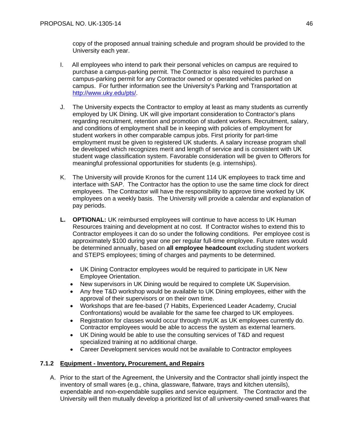copy of the proposed annual training schedule and program should be provided to the University each year.

- I. All employees who intend to park their personal vehicles on campus are required to purchase a campus-parking permit. The Contractor is also required to purchase a campus-parking permit for any Contractor owned or operated vehicles parked on campus. For further information see the University's Parking and Transportation at http://www.uky.edu/pts/.
- J. The University expects the Contractor to employ at least as many students as currently employed by UK Dining. UK will give important consideration to Contractor's plans regarding recruitment, retention and promotion of student workers. Recruitment, salary, and conditions of employment shall be in keeping with policies of employment for student workers in other comparable campus jobs. First priority for part-time employment must be given to registered UK students. A salary increase program shall be developed which recognizes merit and length of service and is consistent with UK student wage classification system. Favorable consideration will be given to Offerors for meaningful professional opportunities for students (e.g. internships).
- K. The University will provide Kronos for the current 114 UK employees to track time and interface with SAP. The Contractor has the option to use the same time clock for direct employees. The Contractor will have the responsibility to approve time worked by UK employees on a weekly basis. The University will provide a calendar and explanation of pay periods.
- **L. OPTIONAL:** UK reimbursed employees will continue to have access to UK Human Resources training and development at no cost. If Contractor wishes to extend this to Contractor employees it can do so under the following conditions. Per employee cost is approximately \$100 during year one per regular full-time employee. Future rates would be determined annually, based on **all employee headcount** excluding student workers and STEPS employees; timing of charges and payments to be determined.
	- UK Dining Contractor employees would be required to participate in UK New Employee Orientation.
	- New supervisors in UK Dining would be required to complete UK Supervision.
	- Any free T&D workshop would be available to UK Dining employees, either with the approval of their supervisors or on their own time.
	- Workshops that are fee-based (7 Habits, Experienced Leader Academy, Crucial Confrontations) would be available for the same fee charged to UK employees.
	- Registration for classes would occur through myUK as UK employees currently do. Contractor employees would be able to access the system as external learners.
	- UK Dining would be able to use the consulting services of T&D and request specialized training at no additional charge.
	- Career Development services would not be available to Contractor employees

# **7.1.2 Equipment - Inventory, Procurement, and Repairs**

A. Prior to the start of the Agreement, the University and the Contractor shall jointly inspect the inventory of small wares (e.g., china, glassware, flatware, trays and kitchen utensils), expendable and non-expendable supplies and service equipment. The Contractor and the University will then mutually develop a prioritized list of all university-owned small-wares that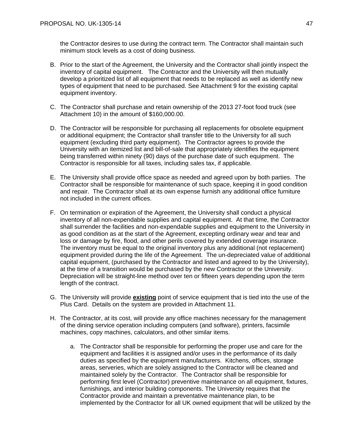the Contractor desires to use during the contract term. The Contractor shall maintain such minimum stock levels as a cost of doing business.

- B. Prior to the start of the Agreement, the University and the Contractor shall jointly inspect the inventory of capital equipment. The Contractor and the University will then mutually develop a prioritized list of all equipment that needs to be replaced as well as identify new types of equipment that need to be purchased. See Attachment 9 for the existing capital equipment inventory.
- C. The Contractor shall purchase and retain ownership of the 2013 27-foot food truck (see Attachment 10) in the amount of \$160,000.00.
- D. The Contractor will be responsible for purchasing all replacements for obsolete equipment or additional equipment; the Contractor shall transfer title to the University for all such equipment (excluding third party equipment). The Contractor agrees to provide the University with an itemized list and bill-of-sale that appropriately identifies the equipment being transferred within ninety (90) days of the purchase date of such equipment. The Contractor is responsible for all taxes, including sales tax, if applicable.
- E. The University shall provide office space as needed and agreed upon by both parties. The Contractor shall be responsible for maintenance of such space, keeping it in good condition and repair. The Contractor shall at its own expense furnish any additional office furniture not included in the current offices.
- F. On termination or expiration of the Agreement, the University shall conduct a physical inventory of all non-expendable supplies and capital equipment. At that time, the Contractor shall surrender the facilities and non-expendable supplies and equipment to the University in as good condition as at the start of the Agreement, excepting ordinary wear and tear and loss or damage by fire, flood, and other perils covered by extended coverage insurance. The inventory must be equal to the original inventory plus any additional (not replacement) equipment provided during the life of the Agreement. The un-depreciated value of additional capital equipment, (purchased by the Contractor and listed and agreed to by the University), at the time of a transition would be purchased by the new Contractor or the University. Depreciation will be straight-line method over ten or fifteen years depending upon the term length of the contract.
- G. The University will provide **existing** point of service equipment that is tied into the use of the Plus Card. Details on the system are provided in Attachment 11.
- H. The Contractor, at its cost, will provide any office machines necessary for the management of the dining service operation including computers (and software), printers, facsimile machines, copy machines, calculators, and other similar items.
	- a. The Contractor shall be responsible for performing the proper use and care for the equipment and facilities it is assigned and/or uses in the performance of its daily duties as specified by the equipment manufacturers. Kitchens, offices, storage areas, serveries, which are solely assigned to the Contractor will be cleaned and maintained solely by the Contractor. The Contractor shall be responsible for performing first level (Contractor) preventive maintenance on all equipment, fixtures, furnishings, and interior building components. The University requires that the Contractor provide and maintain a preventative maintenance plan, to be implemented by the Contractor for all UK owned equipment that will be utilized by the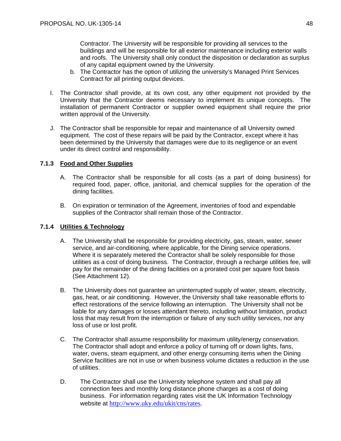Contractor. The University will be responsible for providing all services to the buildings and will be responsible for all exterior maintenance including exterior walls and roofs. The University shall only conduct the disposition or declaration as surplus of any capital equipment owned by the University.

- b. The Contractor has the option of utilizing the university's Managed Print Services Contract for all printing output devices.
- I. The Contractor shall provide, at its own cost, any other equipment not provided by the University that the Contractor deems necessary to implement its unique concepts. The installation of permanent Contractor or supplier owned equipment shall require the prior written approval of the University.
- J. The Contractor shall be responsible for repair and maintenance of all University owned equipment. The cost of these repairs will be paid by the Contractor, except where it has been determined by the University that damages were due to its negligence or an event under its direct control and responsibility.

# **7.1.3 Food and Other Supplies**

- A. The Contractor shall be responsible for all costs (as a part of doing business) for required food, paper, office, janitorial, and chemical supplies for the operation of the dining facilities.
- B. On expiration or termination of the Agreement, inventories of food and expendable supplies of the Contractor shall remain those of the Contractor.

# **7.1.4 Utilities & Technology**

- A. The University shall be responsible for providing electricity, gas, steam, water, sewer service, and air-conditioning, where applicable, for the Dining service operations. Where it is separately metered the Contractor shall be solely responsible for those utilities as a cost of doing business. The Contractor, through a recharge utilities fee, will pay for the remainder of the dining facilities on a prorated cost per square foot basis (See Attachment 12).
- B. The University does not guarantee an uninterrupted supply of water, steam, electricity, gas, heat, or air conditioning. However, the University shall take reasonable efforts to effect restorations of the service following an interruption. The University shall not be liable for any damages or losses attendant thereto, including without limitation, product loss that may result from the interruption or failure of any such utility services, nor any loss of use or lost profit.
- C. The Contractor shall assume responsibility for maximum utility/energy conservation. The Contractor shall adopt and enforce a policy of turning off or down lights, fans, water, ovens, steam equipment, and other energy consuming items when the Dining Service facilities are not in use or when business volume dictates a reduction in the use of utilities.
- D. The Contractor shall use the University telephone system and shall pay all connection fees and monthly long distance phone charges as a cost of doing business. For information regarding rates visit the UK Information Technology website at http://www.uky.edu/ukit/cns/rates.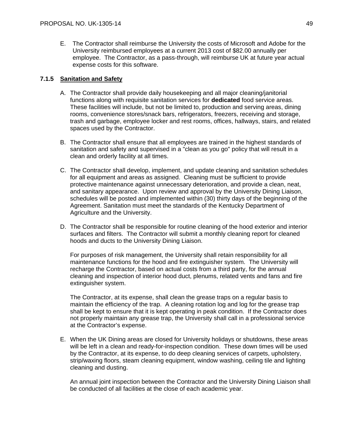E. The Contractor shall reimburse the University the costs of Microsoft and Adobe for the University reimbursed employees at a current 2013 cost of \$82.00 annually per employee. The Contractor, as a pass-through, will reimburse UK at future year actual expense costs for this software.

# **7.1.5 Sanitation and Safety**

- A. The Contractor shall provide daily housekeeping and all major cleaning/janitorial functions along with requisite sanitation services for **dedicated** food service areas. These facilities will include, but not be limited to, production and serving areas, dining rooms, convenience stores/snack bars, refrigerators, freezers, receiving and storage, trash and garbage, employee locker and rest rooms, offices, hallways, stairs, and related spaces used by the Contractor.
- B. The Contractor shall ensure that all employees are trained in the highest standards of sanitation and safety and supervised in a "clean as you go" policy that will result in a clean and orderly facility at all times.
- C. The Contractor shall develop, implement, and update cleaning and sanitation schedules for all equipment and areas as assigned. Cleaning must be sufficient to provide protective maintenance against unnecessary deterioration, and provide a clean, neat, and sanitary appearance. Upon review and approval by the University Dining Liaison, schedules will be posted and implemented within (30) thirty days of the beginning of the Agreement. Sanitation must meet the standards of the Kentucky Department of Agriculture and the University.
- D. The Contractor shall be responsible for routine cleaning of the hood exterior and interior surfaces and filters. The Contractor will submit a monthly cleaning report for cleaned hoods and ducts to the University Dining Liaison.

For purposes of risk management, the University shall retain responsibility for all maintenance functions for the hood and fire extinguisher system. The University will recharge the Contractor, based on actual costs from a third party, for the annual cleaning and inspection of interior hood duct, plenums, related vents and fans and fire extinguisher system.

The Contractor, at its expense, shall clean the grease traps on a regular basis to maintain the efficiency of the trap. A cleaning rotation log and log for the grease trap shall be kept to ensure that it is kept operating in peak condition. If the Contractor does not properly maintain any grease trap, the University shall call in a professional service at the Contractor's expense.

E. When the UK Dining areas are closed for University holidays or shutdowns, these areas will be left in a clean and ready-for-inspection condition. These down times will be used by the Contractor, at its expense, to do deep cleaning services of carpets, upholstery, strip/waxing floors, steam cleaning equipment, window washing, ceiling tile and lighting cleaning and dusting.

An annual joint inspection between the Contractor and the University Dining Liaison shall be conducted of all facilities at the close of each academic year.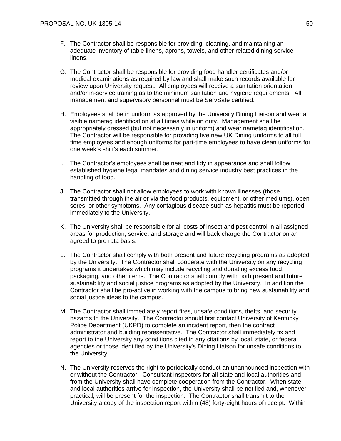- F. The Contractor shall be responsible for providing, cleaning, and maintaining an adequate inventory of table linens, aprons, towels, and other related dining service linens.
- G. The Contractor shall be responsible for providing food handler certificates and/or medical examinations as required by law and shall make such records available for review upon University request. All employees will receive a sanitation orientation and/or in-service training as to the minimum sanitation and hygiene requirements. All management and supervisory personnel must be ServSafe certified.
- H. Employees shall be in uniform as approved by the University Dining Liaison and wear a visible nametag identification at all times while on duty. Management shall be appropriately dressed (but not necessarily in uniform) and wear nametag identification. The Contractor will be responsible for providing five new UK Dining uniforms to all full time employees and enough uniforms for part-time employees to have clean uniforms for one week's shift's each summer.
- I. The Contractor's employees shall be neat and tidy in appearance and shall follow established hygiene legal mandates and dining service industry best practices in the handling of food.
- J. The Contractor shall not allow employees to work with known illnesses (those transmitted through the air or via the food products, equipment, or other mediums), open sores, or other symptoms. Any contagious disease such as hepatitis must be reported immediately to the University.
- K. The University shall be responsible for all costs of insect and pest control in all assigned areas for production, service, and storage and will back charge the Contractor on an agreed to pro rata basis.
- L. The Contractor shall comply with both present and future recycling programs as adopted by the University. The Contractor shall cooperate with the University on any recycling programs it undertakes which may include recycling and donating excess food, packaging, and other items. The Contractor shall comply with both present and future sustainability and social justice programs as adopted by the University. In addition the Contractor shall be pro-active in working with the campus to bring new sustainability and social justice ideas to the campus.
- M. The Contractor shall immediately report fires, unsafe conditions, thefts, and security hazards to the University. The Contractor should first contact University of Kentucky Police Department (UKPD) to complete an incident report, then the contract administrator and building representative. The Contractor shall immediately fix and report to the University any conditions cited in any citations by local, state, or federal agencies or those identified by the University's Dining Liaison for unsafe conditions to the University.
- N. The University reserves the right to periodically conduct an unannounced inspection with or without the Contractor. Consultant inspectors for all state and local authorities and from the University shall have complete cooperation from the Contractor. When state and local authorities arrive for inspection, the University shall be notified and, whenever practical, will be present for the inspection. The Contractor shall transmit to the University a copy of the inspection report within (48) forty-eight hours of receipt. Within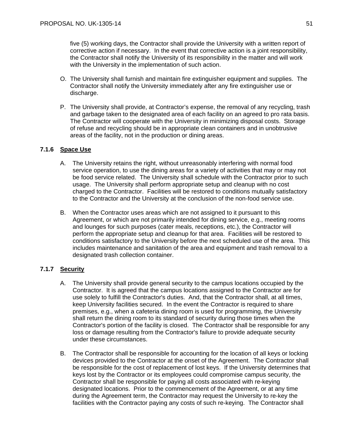five (5) working days, the Contractor shall provide the University with a written report of corrective action if necessary. In the event that corrective action is a joint responsibility, the Contractor shall notify the University of its responsibility in the matter and will work with the University in the implementation of such action.

- O. The University shall furnish and maintain fire extinguisher equipment and supplies. The Contractor shall notify the University immediately after any fire extinguisher use or discharge.
- P. The University shall provide, at Contractor's expense, the removal of any recycling, trash and garbage taken to the designated area of each facility on an agreed to pro rata basis. The Contractor will cooperate with the University in minimizing disposal costs. Storage of refuse and recycling should be in appropriate clean containers and in unobtrusive areas of the facility, not in the production or dining areas.

# **7.1.6 Space Use**

- A. The University retains the right, without unreasonably interfering with normal food service operation, to use the dining areas for a variety of activities that may or may not be food service related. The University shall schedule with the Contractor prior to such usage. The University shall perform appropriate setup and cleanup with no cost charged to the Contractor. Facilities will be restored to conditions mutually satisfactory to the Contractor and the University at the conclusion of the non-food service use.
- B. When the Contractor uses areas which are not assigned to it pursuant to this Agreement, or which are not primarily intended for dining service, e.g., meeting rooms and lounges for such purposes (cater meals, receptions, etc.), the Contractor will perform the appropriate setup and cleanup for that area. Facilities will be restored to conditions satisfactory to the University before the next scheduled use of the area. This includes maintenance and sanitation of the area and equipment and trash removal to a designated trash collection container.

# **7.1.7 Security**

- A. The University shall provide general security to the campus locations occupied by the Contractor. It is agreed that the campus locations assigned to the Contractor are for use solely to fulfill the Contractor's duties. And, that the Contractor shall, at all times, keep University facilities secured. In the event the Contractor is required to share premises, e.g., when a cafeteria dining room is used for programming, the University shall return the dining room to its standard of security during those times when the Contractor's portion of the facility is closed. The Contractor shall be responsible for any loss or damage resulting from the Contractor's failure to provide adequate security under these circumstances.
- B. The Contractor shall be responsible for accounting for the location of all keys or locking devices provided to the Contractor at the onset of the Agreement. The Contractor shall be responsible for the cost of replacement of lost keys. If the University determines that keys lost by the Contractor or its employees could compromise campus security, the Contractor shall be responsible for paying all costs associated with re-keying designated locations. Prior to the commencement of the Agreement, or at any time during the Agreement term, the Contractor may request the University to re-key the facilities with the Contractor paying any costs of such re-keying. The Contractor shall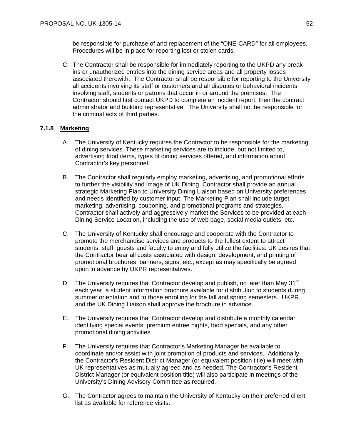be responsible for purchase of and replacement of the "ONE-CARD" for all employees. Procedures will be in place for reporting lost or stolen cards.

C. The Contractor shall be responsible for immediately reporting to the UKPD any breakins or unauthorized entries into the dining service areas and all property losses associated therewith. The Contractor shall be responsible for reporting to the University all accidents involving its staff or customers and all disputes or behavioral incidents involving staff, students or patrons that occur in or around the premises. The Contractor should first contact UKPD to complete an incident report, then the contract administrator and building representative. The University shall not be responsible for the criminal acts of third parties.

# **7.1.8 Marketing**

- A. The University of Kentucky requires the Contractor to be responsible for the marketing of dining services. These marketing services are to include, but not limited to, advertising food items, types of dining services offered, and information about Contractor's key personnel.
- B. The Contractor shall regularly employ marketing, advertising, and promotional efforts to further the visibility and image of UK Dining. Contractor shall provide an annual strategic Marketing Plan to University Dining Liaison based on University preferences and needs identified by customer input. The Marketing Plan shall include target marketing, advertising, couponing, and promotional programs and strategies. Contractor shall actively and aggressively market the Services to be provided at each Dining Service Location, including the use of web page, social media outlets, etc.
- C. The University of Kentucky shall encourage and cooperate with the Contractor to promote the merchandise services and products to the fullest extent to attract students, staff, guests and faculty to enjoy and fully utilize the facilities. UK desires that the Contractor bear all costs associated with design, development, and printing of promotional brochures, banners, signs, etc., except as may specifically be agreed upon in advance by UKPR representatives.
- D. The University requires that Contractor develop and publish, no later than May  $31<sup>st</sup>$ each year, a student information brochure available for distribution to students during summer orientation and to those enrolling for the fall and spring semesters. UKPR and the UK Dining Liaison shall approve the brochure in advance.
- E. The University requires that Contractor develop and distribute a monthly calendar identifying special events, premium entree nights, food specials, and any other promotional dining activities.
- F. The University requires that Contractor's Marketing Manager be available to coordinate and/or assist with joint promotion of products and services. Additionally, the Contractor's Resident District Manager (or equivalent position title) will meet with UK representatives as mutually agreed and as needed. The Contractor's Resident District Manager (or equivalent position title) will also participate in meetings of the University's Dining Advisory Committee as required.
- G. The Contractor agrees to maintain the University of Kentucky on their preferred client list as available for reference visits.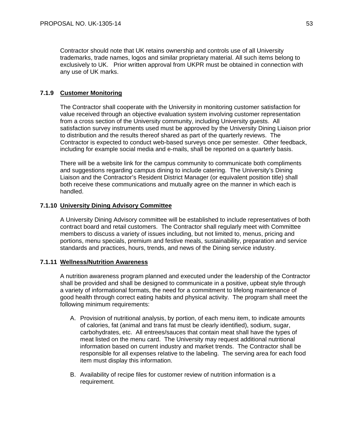Contractor should note that UK retains ownership and controls use of all University trademarks, trade names, logos and similar proprietary material. All such items belong to exclusively to UK. Prior written approval from UKPR must be obtained in connection with any use of UK marks.

# **7.1.9 Customer Monitoring**

The Contractor shall cooperate with the University in monitoring customer satisfaction for value received through an objective evaluation system involving customer representation from a cross section of the University community, including University guests. All satisfaction survey instruments used must be approved by the University Dining Liaison prior to distribution and the results thereof shared as part of the quarterly reviews. The Contractor is expected to conduct web-based surveys once per semester. Other feedback, including for example social media and e-mails, shall be reported on a quarterly basis.

There will be a website link for the campus community to communicate both compliments and suggestions regarding campus dining to include catering. The University's Dining Liaison and the Contractor's Resident District Manager (or equivalent position title) shall both receive these communications and mutually agree on the manner in which each is handled.

# **7.1.10 University Dining Advisory Committee**

A University Dining Advisory committee will be established to include representatives of both contract board and retail customers. The Contractor shall regularly meet with Committee members to discuss a variety of issues including, but not limited to, menus, pricing and portions, menu specials, premium and festive meals, sustainability, preparation and service standards and practices, hours, trends, and news of the Dining service industry.

# **7.1.11 Wellness/Nutrition Awareness**

A nutrition awareness program planned and executed under the leadership of the Contractor shall be provided and shall be designed to communicate in a positive, upbeat style through a variety of informational formats, the need for a commitment to lifelong maintenance of good health through correct eating habits and physical activity. The program shall meet the following minimum requirements:

- A. Provision of nutritional analysis, by portion, of each menu item, to indicate amounts of calories, fat (animal and trans fat must be clearly identified), sodium, sugar, carbohydrates, etc. All entrees/sauces that contain meat shall have the types of meat listed on the menu card. The University may request additional nutritional information based on current industry and market trends. The Contractor shall be responsible for all expenses relative to the labeling. The serving area for each food item must display this information.
- B. Availability of recipe files for customer review of nutrition information is a requirement.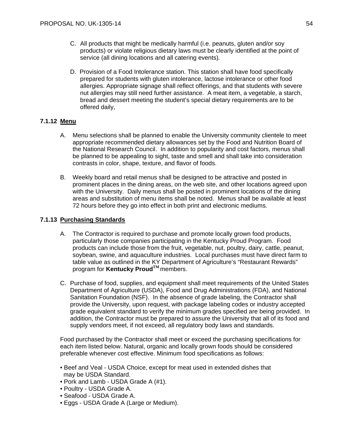- C. All products that might be medically harmful (i.e. peanuts, gluten and/or soy products) or violate religious dietary laws must be clearly identified at the point of service (all dining locations and all catering events)*.*
- D. Provision of a Food Intolerance station. This station shall have food specifically prepared for students with gluten intolerance, lactose intolerance or other food allergies. Appropriate signage shall reflect offerings, and that students with severe nut allergies may still need further assistance. A meat item, a vegetable, a starch, bread and dessert meeting the student's special dietary requirements are to be offered daily,

# **7.1.12 Menu**

- A. Menu selections shall be planned to enable the University community clientele to meet appropriate recommended dietary allowances set by the Food and Nutrition Board of the National Research Council. In addition to popularity and cost factors, menus shall be planned to be appealing to sight, taste and smell and shall take into consideration contrasts in color, shape, texture, and flavor of foods.
- B. Weekly board and retail menus shall be designed to be attractive and posted in prominent places in the dining areas, on the web site, and other locations agreed upon with the University. Daily menus shall be posted in prominent locations of the dining areas and substitution of menu items shall be noted. Menus shall be available at least 72 hours before they go into effect in both print and electronic mediums.

# **7.1.13 Purchasing Standards**

- A. The Contractor is required to purchase and promote locally grown food products, particularly those companies participating in the Kentucky Proud Program. Food products can include those from the fruit, vegetable, nut, poultry, dairy, cattle, peanut, soybean, swine, and aquaculture industries. Local purchases must have direct farm to table value as outlined in the KY Department of Agriculture's "Restaurant Rewards" program for **Kentucky ProudTM** members.
- C. Purchase of food, supplies, and equipment shall meet requirements of the United States Department of Agriculture (USDA), Food and Drug Administrations (FDA), and National Sanitation Foundation (NSF). In the absence of grade labeling, the Contractor shall provide the University, upon request, with package labeling codes or industry accepted grade equivalent standard to verify the minimum grades specified are being provided. In addition, the Contractor must be prepared to assure the University that all of its food and supply vendors meet, if not exceed, all regulatory body laws and standards.

 Food purchased by the Contractor shall meet or exceed the purchasing specifications for each item listed below. Natural, organic and locally grown foods should be considered preferable whenever cost effective. Minimum food specifications as follows:

- Beef and Veal USDA Choice, except for meat used in extended dishes that may be USDA Standard.
- Pork and Lamb USDA Grade A (#1).
- Poultry USDA Grade A.
- Seafood USDA Grade A.
- Eggs USDA Grade A (Large or Medium).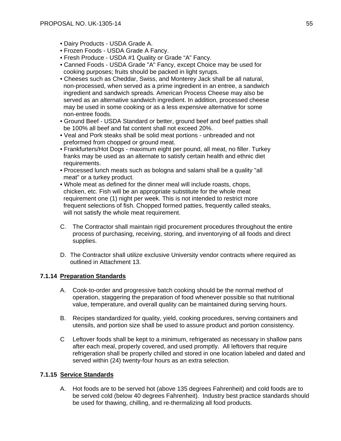- Dairy Products USDA Grade A.
- Frozen Foods USDA Grade A Fancy.
- Fresh Produce USDA #1 Quality or Grade "A" Fancy.
- Canned Foods USDA Grade "A" Fancy, except Choice may be used for cooking purposes; fruits should be packed in light syrups.
- Cheeses such as Cheddar, Swiss, and Monterey Jack shall be all natural, non-processed, when served as a prime ingredient in an entree, a sandwich ingredient and sandwich spreads. American Process Cheese may also be served as an alternative sandwich ingredient. In addition, processed cheese may be used in some cooking or as a less expensive alternative for some non-entree foods.
- Ground Beef USDA Standard or better, ground beef and beef patties shall be 100% all beef and fat content shall not exceed 20%.
- Veal and Pork steaks shall be solid meat portions unbreaded and not preformed from chopped or ground meat.
- Frankfurters/Hot Dogs maximum eight per pound, all meat, no filler. Turkey franks may be used as an alternate to satisfy certain health and ethnic diet requirements.
- Processed lunch meats such as bologna and salami shall be a quality "all meat" or a turkey product.
- Whole meat as defined for the dinner meal will include roasts, chops, chicken, etc. Fish will be an appropriate substitute for the whole meat requirement one (1) night per week. This is not intended to restrict more frequent selections of fish. Chopped formed patties, frequently called steaks, will not satisfy the whole meat requirement.
- C. The Contractor shall maintain rigid procurement procedures throughout the entire process of purchasing, receiving, storing, and inventorying of all foods and direct supplies.
- D. The Contractor shall utilize exclusive University vendor contracts where required as outlined in Attachment 13.

# **7.1.14 Preparation Standards**

- A. Cook-to-order and progressive batch cooking should be the normal method of operation, staggering the preparation of food whenever possible so that nutritional value, temperature, and overall quality can be maintained during serving hours.
- B. Recipes standardized for quality, yield, cooking procedures, serving containers and utensils, and portion size shall be used to assure product and portion consistency.
- C Leftover foods shall be kept to a minimum, refrigerated as necessary in shallow pans after each meal, properly covered, and used promptly. All leftovers that require refrigeration shall be properly chilled and stored in one location labeled and dated and served within (24) twenty-four hours as an extra selection.

# **7.1.15 Service Standards**

A. Hot foods are to be served hot (above 135 degrees Fahrenheit) and cold foods are to be served cold (below 40 degrees Fahrenheit). Industry best practice standards should be used for thawing, chilling, and re-thermalizing all food products.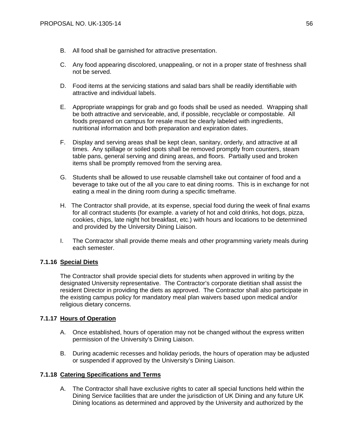- B. All food shall be garnished for attractive presentation.
- C. Any food appearing discolored, unappealing, or not in a proper state of freshness shall not be served.
- D. Food items at the servicing stations and salad bars shall be readily identifiable with attractive and individual labels.
- E. Appropriate wrappings for grab and go foods shall be used as needed. Wrapping shall be both attractive and serviceable, and, if possible, recyclable or compostable. All foods prepared on campus for resale must be clearly labeled with ingredients, nutritional information and both preparation and expiration dates.
- F. Display and serving areas shall be kept clean, sanitary, orderly, and attractive at all times. Any spillage or soiled spots shall be removed promptly from counters, steam table pans, general serving and dining areas, and floors. Partially used and broken items shall be promptly removed from the serving area.
- G. Students shall be allowed to use reusable clamshell take out container of food and a beverage to take out of the all you care to eat dining rooms. This is in exchange for not eating a meal in the dining room during a specific timeframe.
- H. The Contractor shall provide, at its expense, special food during the week of final exams for all contract students (for example. a variety of hot and cold drinks, hot dogs, pizza, cookies, chips, late night hot breakfast, etc.) with hours and locations to be determined and provided by the University Dining Liaison.
- I. The Contractor shall provide theme meals and other programming variety meals during each semester.

# **7.1.16 Special Diets**

The Contractor shall provide special diets for students when approved in writing by the designated University representative. The Contractor's corporate dietitian shall assist the resident Director in providing the diets as approved. The Contractor shall also participate in the existing campus policy for mandatory meal plan waivers based upon medical and/or religious dietary concerns.

# **7.1.17 Hours of Operation**

- A. Once established, hours of operation may not be changed without the express written permission of the University's Dining Liaison.
- B. During academic recesses and holiday periods, the hours of operation may be adjusted or suspended if approved by the University's Dining Liaison.

# **7.1.18 Catering Specifications and Terms**

A. The Contractor shall have exclusive rights to cater all special functions held within the Dining Service facilities that are under the jurisdiction of UK Dining and any future UK Dining locations as determined and approved by the University and authorized by the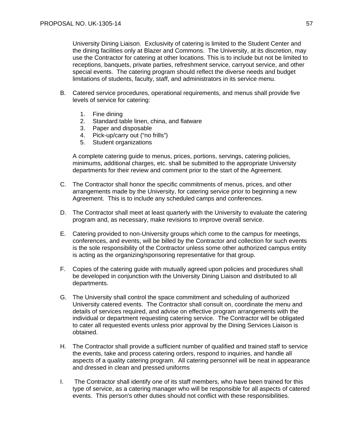University Dining Liaison. Exclusivity of catering is limited to the Student Center and the dining facilities only at Blazer and Commons. The University, at its discretion, may use the Contractor for catering at other locations. This is to include but not be limited to receptions, banquets, private parties, refreshment service, carryout service, and other special events. The catering program should reflect the diverse needs and budget limitations of students, faculty, staff, and administrators in its service menu.

- B. Catered service procedures, operational requirements, and menus shall provide five levels of service for catering:
	- 1. Fine dining
	- 2. Standard table linen, china, and flatware
	- 3. Paper and disposable
	- 4. Pick-up/carry out ("no frills")
	- 5. Student organizations

A complete catering guide to menus, prices, portions, servings, catering policies, minimums, additional charges, etc. shall be submitted to the appropriate University departments for their review and comment prior to the start of the Agreement.

- C. The Contractor shall honor the specific commitments of menus, prices, and other arrangements made by the University, for catering service prior to beginning a new Agreement. This is to include any scheduled camps and conferences.
- D. The Contractor shall meet at least quarterly with the University to evaluate the catering program and, as necessary, make revisions to improve overall service.
- E. Catering provided to non-University groups which come to the campus for meetings, conferences, and events, will be billed by the Contractor and collection for such events is the sole responsibility of the Contractor unless some other authorized campus entity is acting as the organizing/sponsoring representative for that group.
- F. Copies of the catering guide with mutually agreed upon policies and procedures shall be developed in conjunction with the University Dining Liaison and distributed to all departments.
- G. The University shall control the space commitment and scheduling of authorized University catered events. The Contractor shall consult on, coordinate the menu and details of services required, and advise on effective program arrangements with the individual or department requesting catering service. The Contractor will be obligated to cater all requested events unless prior approval by the Dining Services Liaison is obtained.
- H. The Contractor shall provide a sufficient number of qualified and trained staff to service the events, take and process catering orders, respond to inquiries, and handle all aspects of a quality catering program. All catering personnel will be neat in appearance and dressed in clean and pressed uniforms
- I. The Contractor shall identify one of its staff members, who have been trained for this type of service, as a catering manager who will be responsible for all aspects of catered events. This person's other duties should not conflict with these responsibilities.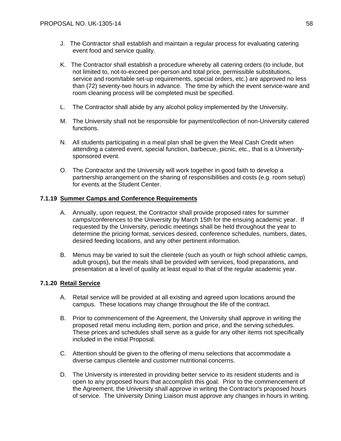- J. The Contractor shall establish and maintain a regular process for evaluating catering event food and service quality.
- K. The Contractor shall establish a procedure whereby all catering orders (to include, but not limited to, not-to-exceed per-person and total price, permissible substitutions, service and room/table set-up requirements, special orders, etc.) are approved no less than (72) seventy-two hours in advance. The time by which the event service-ware and room cleaning process will be completed must be specified.
- L. The Contractor shall abide by any alcohol policy implemented by the University.
- M. The University shall not be responsible for payment/collection of non-University catered functions.
- N. All students participating in a meal plan shall be given the Meal Cash Credit when attending a catered event, special function, barbecue, picnic, etc., that is a Universitysponsored event.
- O. The Contractor and the University will work together in good faith to develop a partnership arrangement on the sharing of responsibilities and costs (e.g. room setup) for events at the Student Center.

# **7.1.19 Summer Camps and Conference Requirements**

- A. Annually, upon request, the Contractor shall provide proposed rates for summer camps/conferences to the University by March 15th for the ensuing academic year. If requested by the University, periodic meetings shall be held throughout the year to determine the pricing format, services desired, conference schedules, numbers, dates, desired feeding locations, and any other pertinent information.
- B. Menus may be varied to suit the clientele (such as youth or high school athletic camps, adult groups), but the meals shall be provided with services, food preparations, and presentation at a level of quality at least equal to that of the regular academic year.

# **7.1.20 Retail Service**

- A. Retail service will be provided at all existing and agreed upon locations around the campus. These locations may change throughout the life of the contract.
- B. Prior to commencement of the Agreement, the University shall approve in writing the proposed retail menu including item, portion and price, and the serving schedules. These prices and schedules shall serve as a guide for any other items not specifically included in the initial Proposal.
- C. Attention should be given to the offering of menu selections that accommodate a diverse campus clientele and customer nutritional concerns.
- D. The University is interested in providing better service to its resident students and is open to any proposed hours that accomplish this goal. Prior to the commencement of the Agreement, the University shall approve in writing the Contractor's proposed hours of service. The University Dining Liaison must approve any changes in hours in writing.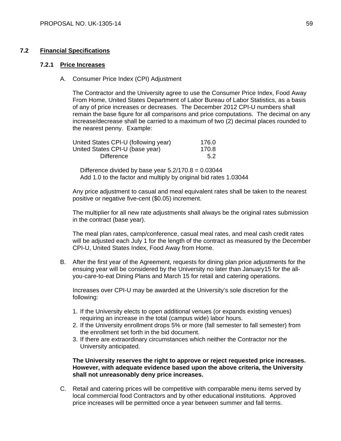# **7.2 Financial Specifications**

# **7.2.1 Price Increases**

A. Consumer Price Index (CPI) Adjustment

 The Contractor and the University agree to use the Consumer Price Index, Food Away From Home, United States Department of Labor Bureau of Labor Statistics, as a basis of any of price increases or decreases. The December 2012 CPI-U numbers shall remain the base figure for all comparisons and price computations. The decimal on any increase/decrease shall be carried to a maximum of two (2) decimal places rounded to the nearest penny. Example:

| United States CPI-U (following year) | 176.0 |
|--------------------------------------|-------|
| United States CPI-U (base year)      | 170.8 |
| <b>Difference</b>                    | 5.2   |

Difference divided by base year  $5.2/170.8 = 0.03044$ Add 1.0 to the factor and multiply by original bid rates 1.03044

 Any price adjustment to casual and meal equivalent rates shall be taken to the nearest positive or negative five-cent (\$0.05) increment.

 The multiplier for all new rate adjustments shall always be the original rates submission in the contract (base year).

The meal plan rates, camp/conference, casual meal rates, and meal cash credit rates will be adjusted each July 1 for the length of the contract as measured by the December CPI-U, United States Index, Food Away from Home.

B. After the first year of the Agreement, requests for dining plan price adjustments for the ensuing year will be considered by the University no later than January15 for the allyou-care-to-eat Dining Plans and March 15 for retail and catering operations.

 Increases over CPI-U may be awarded at the University's sole discretion for the following:

- 1. If the University elects to open additional venues (or expands existing venues) requiring an increase in the total (campus wide) labor hours.
- 2. If the University enrollment drops 5% or more (fall semester to fall semester) from the enrollment set forth in the bid document.
- 3. If there are extraordinary circumstances which neither the Contractor nor the University anticipated.

**The University reserves the right to approve or reject requested price increases. However, with adequate evidence based upon the above criteria, the University shall not unreasonably deny price increases.** 

C. Retail and catering prices will be competitive with comparable menu items served by local commercial food Contractors and by other educational institutions. Approved price increases will be permitted once a year between summer and fall terms.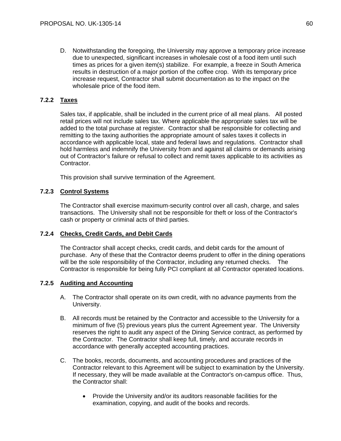D. Notwithstanding the foregoing, the University may approve a temporary price increase due to unexpected, significant increases in wholesale cost of a food item until such times as prices for a given item(s) stabilize. For example, a freeze in South America results in destruction of a major portion of the coffee crop. With its temporary price increase request, Contractor shall submit documentation as to the impact on the wholesale price of the food item.

# **7.2.2 Taxes**

Sales tax, if applicable, shall be included in the current price of all meal plans. All posted retail prices will not include sales tax. Where applicable the appropriate sales tax will be added to the total purchase at register. Contractor shall be responsible for collecting and remitting to the taxing authorities the appropriate amount of sales taxes it collects in accordance with applicable local, state and federal laws and regulations. Contractor shall hold harmless and indemnify the University from and against all claims or demands arising out of Contractor's failure or refusal to collect and remit taxes applicable to its activities as Contractor.

This provision shall survive termination of the Agreement.

# **7.2.3 Control Systems**

The Contractor shall exercise maximum-security control over all cash, charge, and sales transactions. The University shall not be responsible for theft or loss of the Contractor's cash or property or criminal acts of third parties.

# **7.2.4 Checks, Credit Cards, and Debit Cards**

The Contractor shall accept checks, credit cards, and debit cards for the amount of purchase. Any of these that the Contractor deems prudent to offer in the dining operations will be the sole responsibility of the Contractor, including any returned checks. The Contractor is responsible for being fully PCI compliant at all Contractor operated locations.

# **7.2.5 Auditing and Accounting**

- A. The Contractor shall operate on its own credit, with no advance payments from the University.
- B. All records must be retained by the Contractor and accessible to the University for a minimum of five (5) previous years plus the current Agreement year. The University reserves the right to audit any aspect of the Dining Service contract, as performed by the Contractor. The Contractor shall keep full, timely, and accurate records in accordance with generally accepted accounting practices.
- C. The books, records, documents, and accounting procedures and practices of the Contractor relevant to this Agreement will be subject to examination by the University. If necessary, they will be made available at the Contractor's on-campus office. Thus, the Contractor shall:
	- Provide the University and/or its auditors reasonable facilities for the examination, copying, and audit of the books and records.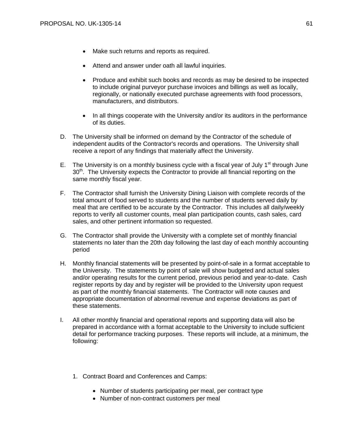- Make such returns and reports as required.
- Attend and answer under oath all lawful inquiries.
- Produce and exhibit such books and records as may be desired to be inspected to include original purveyor purchase invoices and billings as well as locally, regionally, or nationally executed purchase agreements with food processors, manufacturers, and distributors.
- In all things cooperate with the University and/or its auditors in the performance of its duties.
- D. The University shall be informed on demand by the Contractor of the schedule of independent audits of the Contractor's records and operations. The University shall receive a report of any findings that materially affect the University.
- E. The University is on a monthly business cycle with a fiscal year of July 1<sup>st</sup> through June 30<sup>th</sup>. The University expects the Contractor to provide all financial reporting on the same monthly fiscal year.
- F. The Contractor shall furnish the University Dining Liaison with complete records of the total amount of food served to students and the number of students served daily by meal that are certified to be accurate by the Contractor. This includes all daily/weekly reports to verify all customer counts, meal plan participation counts, cash sales, card sales, and other pertinent information so requested.
- G. The Contractor shall provide the University with a complete set of monthly financial statements no later than the 20th day following the last day of each monthly accounting period
- H. Monthly financial statements will be presented by point-of-sale in a format acceptable to the University. The statements by point of sale will show budgeted and actual sales and/or operating results for the current period, previous period and year-to-date. Cash register reports by day and by register will be provided to the University upon request as part of the monthly financial statements. The Contractor will note causes and appropriate documentation of abnormal revenue and expense deviations as part of these statements.
- I. All other monthly financial and operational reports and supporting data will also be prepared in accordance with a format acceptable to the University to include sufficient detail for performance tracking purposes. These reports will include, at a minimum, the following:
	- 1. Contract Board and Conferences and Camps:
		- Number of students participating per meal, per contract type
		- Number of non-contract customers per meal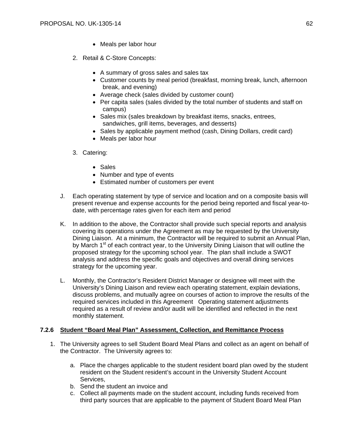- Meals per labor hour
- 2. Retail & C-Store Concepts:
	- A summary of gross sales and sales tax
	- Customer counts by meal period (breakfast, morning break, lunch, afternoon break, and evening)
	- Average check (sales divided by customer count)
	- Per capita sales (sales divided by the total number of students and staff on campus)
	- Sales mix (sales breakdown by breakfast items, snacks, entrees, sandwiches, grill items, beverages, and desserts)
	- Sales by applicable payment method (cash, Dining Dollars, credit card)
	- Meals per labor hour
- 3. Catering:
	- Sales
	- Number and type of events
	- Estimated number of customers per event
- J. Each operating statement by type of service and location and on a composite basis will present revenue and expense accounts for the period being reported and fiscal year-todate, with percentage rates given for each item and period
- K. In addition to the above, the Contractor shall provide such special reports and analysis covering its operations under the Agreement as may be requested by the University Dining Liaison. At a minimum, the Contractor will be required to submit an Annual Plan, by March 1<sup>st</sup> of each contract year, to the University Dining Liaison that will outline the proposed strategy for the upcoming school year. The plan shall include a SWOT analysis and address the specific goals and objectives and overall dining services strategy for the upcoming year.
- L. Monthly, the Contractor's Resident District Manager or designee will meet with the University's Dining Liaison and review each operating statement, explain deviations, discuss problems, and mutually agree on courses of action to improve the results of the required services included in this Agreement Operating statement adjustments required as a result of review and/or audit will be identified and reflected in the next monthly statement.

# **7.2.6 Student "Board Meal Plan" Assessment, Collection, and Remittance Process**

- 1. The University agrees to sell Student Board Meal Plans and collect as an agent on behalf of the Contractor. The University agrees to:
	- a. Place the charges applicable to the student resident board plan owed by the student resident on the Student resident's account in the University Student Account Services,
	- b. Send the student an invoice and
	- c. Collect all payments made on the student account, including funds received from third party sources that are applicable to the payment of Student Board Meal Plan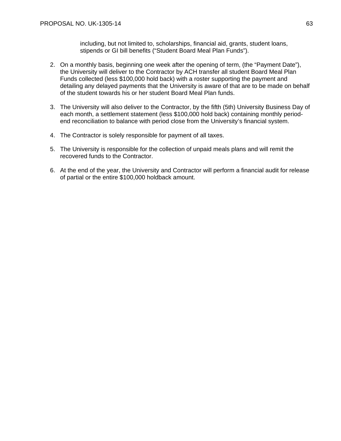including, but not limited to, scholarships, financial aid, grants, student loans, stipends or GI bill benefits ("Student Board Meal Plan Funds").

- 2. On a monthly basis, beginning one week after the opening of term, (the "Payment Date"), the University will deliver to the Contractor by ACH transfer all student Board Meal Plan Funds collected (less \$100,000 hold back) with a roster supporting the payment and detailing any delayed payments that the University is aware of that are to be made on behalf of the student towards his or her student Board Meal Plan funds.
- 3. The University will also deliver to the Contractor, by the fifth (5th) University Business Day of each month, a settlement statement (less \$100,000 hold back) containing monthly periodend reconciliation to balance with period close from the University's financial system.
- 4. The Contractor is solely responsible for payment of all taxes.
- 5. The University is responsible for the collection of unpaid meals plans and will remit the recovered funds to the Contractor.
- 6. At the end of the year, the University and Contractor will perform a financial audit for release of partial or the entire \$100,000 holdback amount.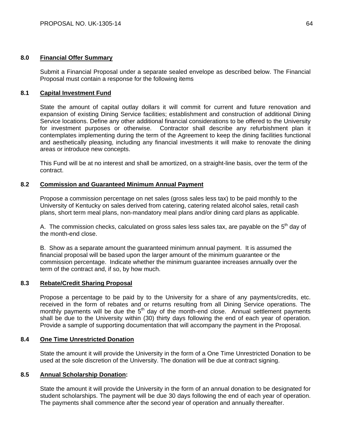# **8.0 Financial Offer Summary**

Submit a Financial Proposal under a separate sealed envelope as described below. The Financial Proposal must contain a response for the following items

# **8.1 Capital Investment Fund**

State the amount of capital outlay dollars it will commit for current and future renovation and expansion of existing Dining Service facilities; establishment and construction of additional Dining Service locations. Define any other additional financial considerations to be offered to the University for investment purposes or otherwise. Contractor shall describe any refurbishment plan it contemplates implementing during the term of the Agreement to keep the dining facilities functional and aesthetically pleasing, including any financial investments it will make to renovate the dining areas or introduce new concepts.

This Fund will be at no interest and shall be amortized, on a straight-line basis, over the term of the contract.

# **8.2 Commission and Guaranteed Minimum Annual Payment**

Propose a commission percentage on net sales (gross sales less tax) to be paid monthly to the University of Kentucky on sales derived from catering, catering related alcohol sales, retail cash plans, short term meal plans, non-mandatory meal plans and/or dining card plans as applicable.

A. The commission checks, calculated on gross sales less sales tax, are payable on the 5<sup>th</sup> day of the month-end close.

B. Show as a separate amount the guaranteed minimum annual payment. It is assumed the financial proposal will be based upon the larger amount of the minimum guarantee or the commission percentage. Indicate whether the minimum guarantee increases annually over the term of the contract and, if so, by how much.

# **8.3 Rebate/Credit Sharing Proposal**

Propose a percentage to be paid by to the University for a share of any payments/credits, etc. received in the form of rebates and or returns resulting from all Dining Service operations. The monthly payments will be due the  $5<sup>th</sup>$  day of the month-end close. Annual settlement payments shall be due to the University within (30) thirty days following the end of each year of operation. Provide a sample of supporting documentation that will accompany the payment in the Proposal.

# **8.4 One Time Unrestricted Donation**

State the amount it will provide the University in the form of a One Time Unrestricted Donation to be used at the sole discretion of the University. The donation will be due at contract signing.

# **8.5 Annual Scholarship Donation:**

State the amount it will provide the University in the form of an annual donation to be designated for student scholarships. The payment will be due 30 days following the end of each year of operation. The payments shall commence after the second year of operation and annually thereafter.